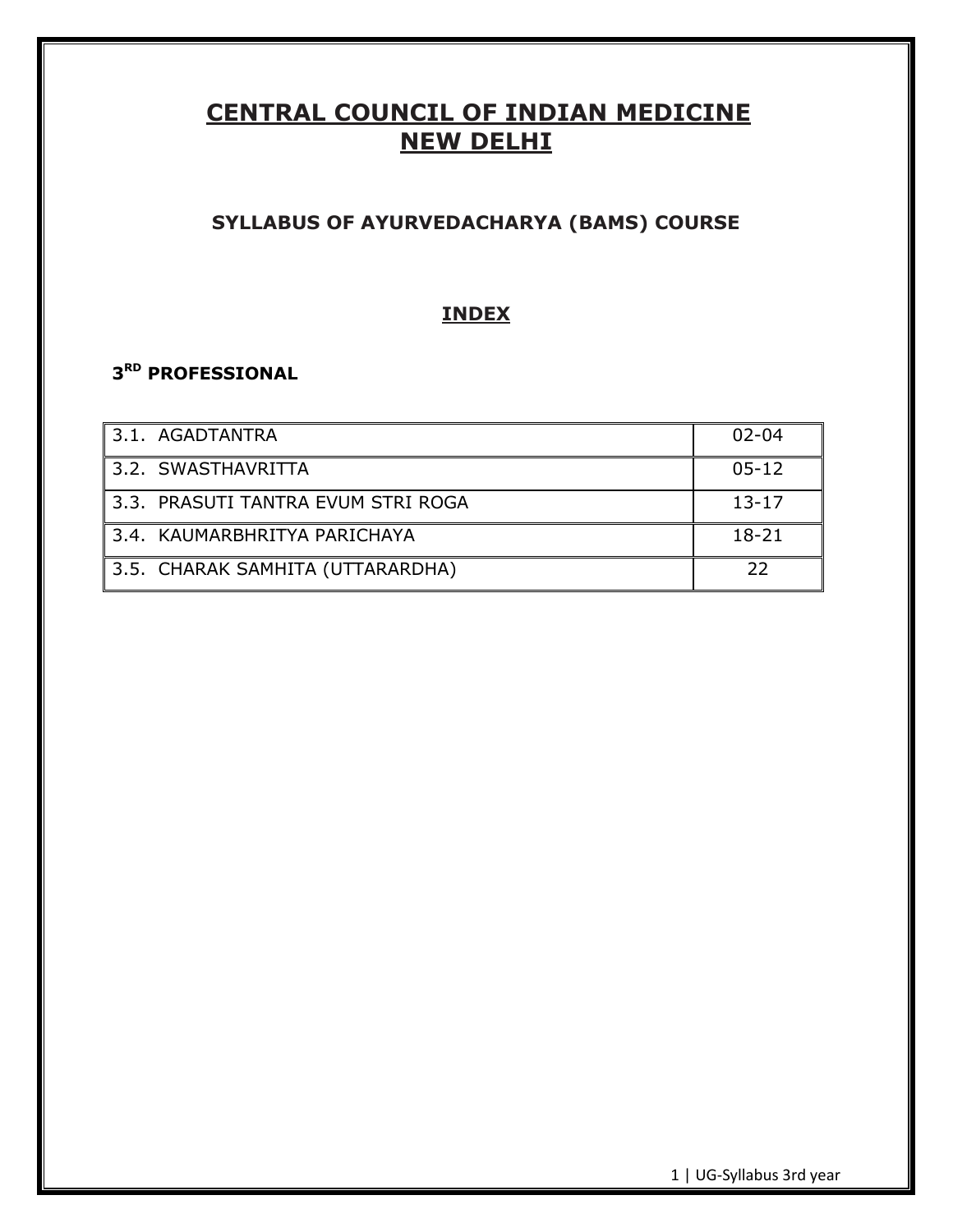# **CENTRAL COUNCIL OF INDIAN MEDICINE NEW DELHI**

# **SYLLABUS OF AYURVEDACHARYA (BAMS) COURSE**

# **INDEX**

# **3 RD PROFESSIONAL**

| 3.1. AGADTANTRA                    | $02 - 04$ |
|------------------------------------|-----------|
| 3.2. SWASTHAVRITTA                 | $05 - 12$ |
| 3.3. PRASUTI TANTRA EVUM STRI ROGA | $13 - 17$ |
| 3.4. KAUMARBHRITYA PARICHAYA       | $18 - 21$ |
| 3.5. CHARAK SAMHITA (UTTARARDHA)   | 22        |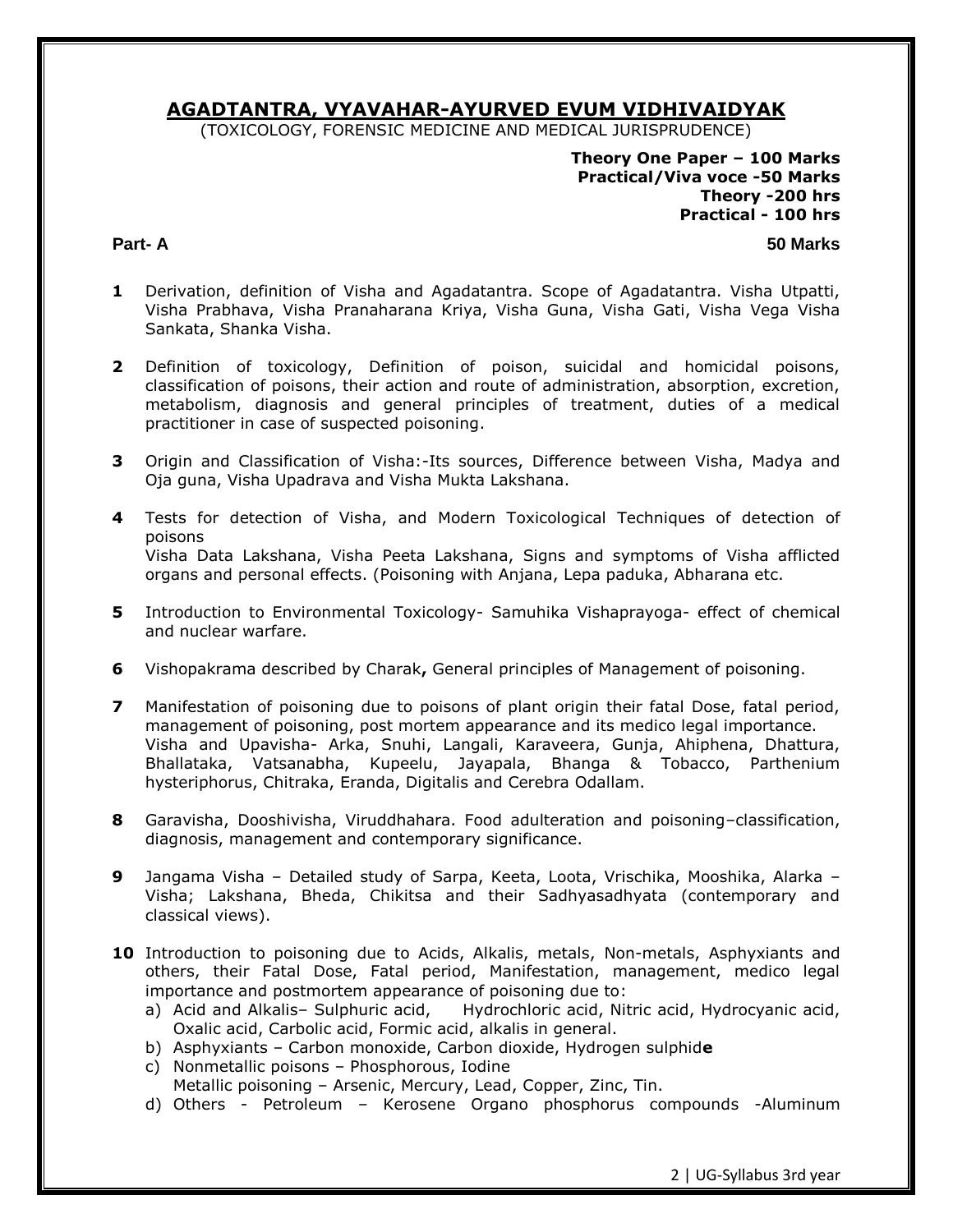# **AGADTANTRA, VYAVAHAR-AYURVED EVUM VIDHIVAIDYAK**

(TOXICOLOGY, FORENSIC MEDICINE AND MEDICAL JURISPRUDENCE)

**Theory One Paper – 100 Marks Practical/Viva voce -50 Marks Theory -200 hrs Practical - 100 hrs** 

**Part- A 50 Marks**

- **1** Derivation, definition of Visha and Agadatantra. Scope of Agadatantra. Visha Utpatti, Visha Prabhava, Visha Pranaharana Kriya, Visha Guna, Visha Gati, Visha Vega Visha Sankata, Shanka Visha.
- **2** Definition of toxicology, Definition of poison, suicidal and homicidal poisons, classification of poisons, their action and route of administration, absorption, excretion, metabolism, diagnosis and general principles of treatment, duties of a medical practitioner in case of suspected poisoning.
- **3** Origin and Classification of Visha:-Its sources, Difference between Visha, Madya and Oja guna, Visha Upadrava and Visha Mukta Lakshana.
- **4** Tests for detection of Visha, and Modern Toxicological Techniques of detection of poisons Visha Data Lakshana, Visha Peeta Lakshana, Signs and symptoms of Visha afflicted organs and personal effects. (Poisoning with Anjana, Lepa paduka, Abharana etc.
- **5** Introduction to Environmental Toxicology- Samuhika Vishaprayoga- effect of chemical and nuclear warfare.
- **6** Vishopakrama described by Charak**,** General principles of Management of poisoning.
- **7** Manifestation of poisoning due to poisons of plant origin their fatal Dose, fatal period, management of poisoning, post mortem appearance and its medico legal importance. Visha and Upavisha- Arka, Snuhi, Langali, Karaveera, Gunja, Ahiphena, Dhattura, Bhallataka, Vatsanabha, Kupeelu, Jayapala, Bhanga & Tobacco, Parthenium hysteriphorus, Chitraka, Eranda, Digitalis and Cerebra Odallam.
- **8** Garavisha, Dooshivisha, Viruddhahara. Food adulteration and poisoning–classification, diagnosis, management and contemporary significance.
- **9** Jangama Visha Detailed study of Sarpa, Keeta, Loota, Vrischika, Mooshika, Alarka Visha; Lakshana, Bheda, Chikitsa and their Sadhyasadhyata (contemporary and classical views).
- **10** Introduction to poisoning due to Acids, Alkalis, metals, Non-metals, Asphyxiants and others, their Fatal Dose, Fatal period, Manifestation, management, medico legal importance and postmortem appearance of poisoning due to:
	- a) Acid and Alkalis– Sulphuric acid, Hydrochloric acid, Nitric acid, Hydrocyanic acid, Oxalic acid, Carbolic acid, Formic acid, alkalis in general.
	- b) Asphyxiants Carbon monoxide, Carbon dioxide, Hydrogen sulphid**e**
	- c) Nonmetallic poisons Phosphorous, Iodine

Metallic poisoning – Arsenic, Mercury, Lead, Copper, Zinc, Tin.

d) Others - Petroleum – Kerosene Organo phosphorus compounds -Aluminum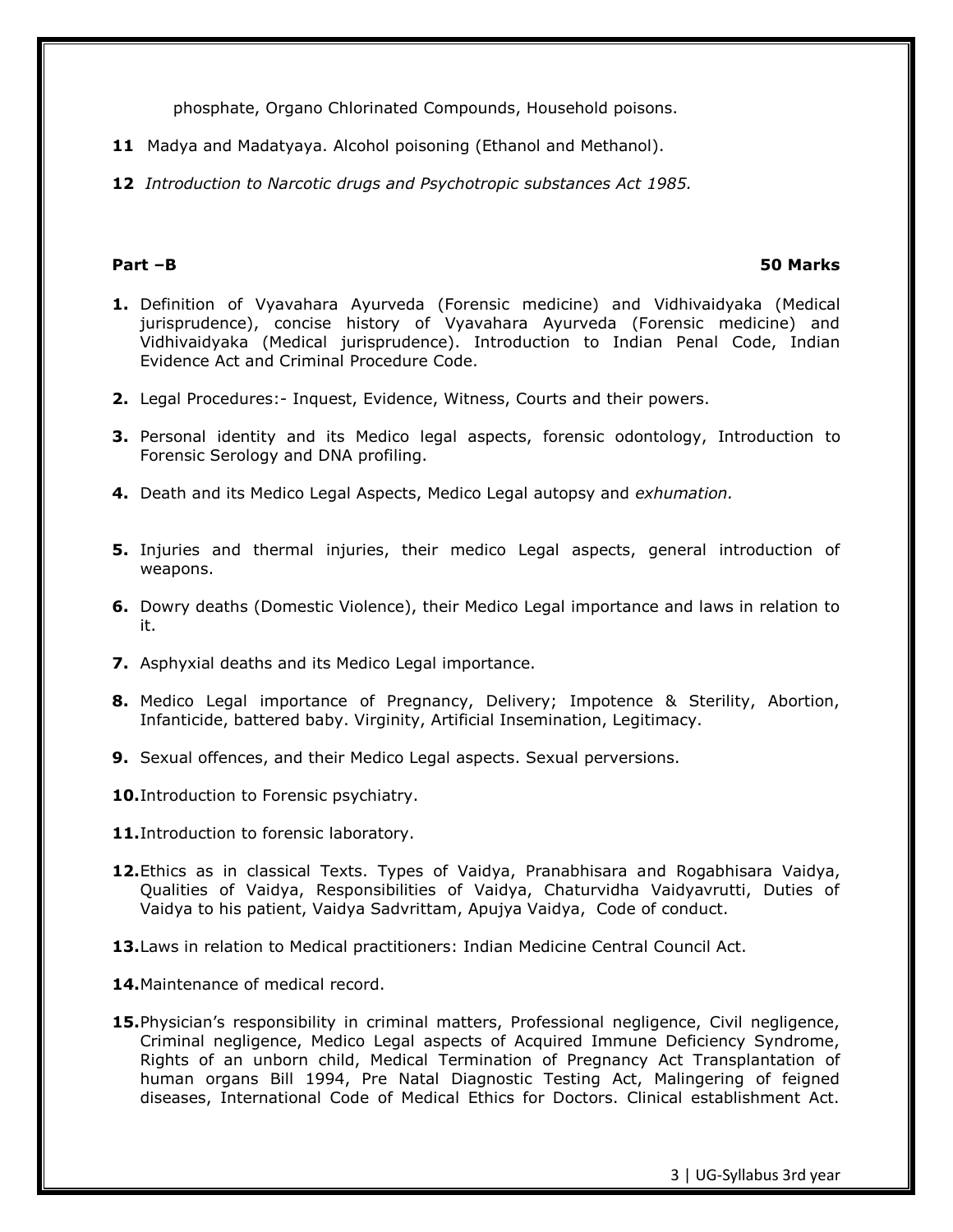phosphate, Organo Chlorinated Compounds, Household poisons.

- **11** Madya and Madatyaya. Alcohol poisoning (Ethanol and Methanol).
- **12** *Introduction to Narcotic drugs and Psychotropic substances Act 1985.*

### **Part –B 50 Marks**

- **1.** Definition of Vyavahara Ayurveda (Forensic medicine) and Vidhivaidyaka (Medical jurisprudence), concise history of Vyavahara Ayurveda (Forensic medicine) and Vidhivaidyaka (Medical jurisprudence). Introduction to Indian Penal Code, Indian Evidence Act and Criminal Procedure Code.
- **2.** Legal Procedures:- Inquest, Evidence, Witness, Courts and their powers.
- **3.** Personal identity and its Medico legal aspects, forensic odontology, Introduction to Forensic Serology and DNA profiling.
- **4.** Death and its Medico Legal Aspects, Medico Legal autopsy and *exhumation.*
- **5.** Injuries and thermal injuries, their medico Legal aspects, general introduction of weapons.
- **6.** Dowry deaths (Domestic Violence), their Medico Legal importance and laws in relation to it.
- **7.** Asphyxial deaths and its Medico Legal importance.
- **8.** Medico Legal importance of Pregnancy, Delivery; Impotence & Sterility, Abortion, Infanticide, battered baby. Virginity, Artificial Insemination, Legitimacy.
- **9.** Sexual offences, and their Medico Legal aspects. Sexual perversions.
- **10.**Introduction to Forensic psychiatry.
- **11.**Introduction to forensic laboratory.
- **12.**Ethics as in classical Texts. Types of Vaidya, Pranabhisara and Rogabhisara Vaidya, Qualities of Vaidya, Responsibilities of Vaidya, Chaturvidha Vaidyavrutti, Duties of Vaidya to his patient, Vaidya Sadvrittam, Apujya Vaidya, Code of conduct.
- **13.**Laws in relation to Medical practitioners: Indian Medicine Central Council Act.
- **14.**Maintenance of medical record.
- **15.**Physician's responsibility in criminal matters, Professional negligence, Civil negligence, Criminal negligence, Medico Legal aspects of Acquired Immune Deficiency Syndrome, Rights of an unborn child, Medical Termination of Pregnancy Act Transplantation of human organs Bill 1994, Pre Natal Diagnostic Testing Act, Malingering of feigned diseases, International Code of Medical Ethics for Doctors. Clinical establishment Act.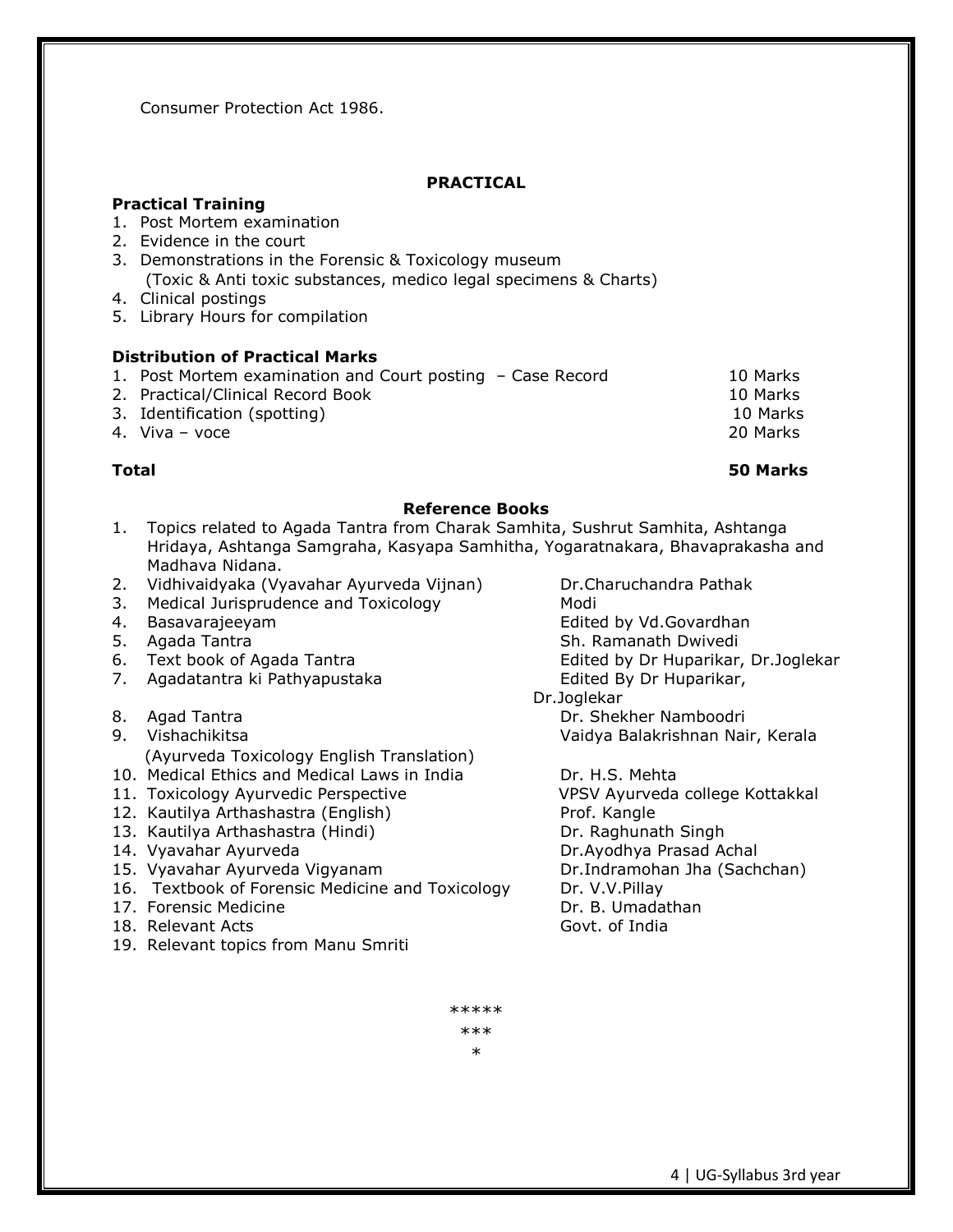Consumer Protection Act 1986.

# **PRACTICAL**

# **Practical Training**

- 1. Post Mortem examination
- 2. Evidence in the court
- 3. Demonstrations in the Forensic & Toxicology museum (Toxic & Anti toxic substances, medico legal specimens & Charts)
- 4. Clinical postings
- 5. Library Hours for compilation

# **Distribution of Practical Marks**

- 1. Post Mortem examination and Court posting Case Record 10 Marks
- 2. Practical/Clinical Record Book 10 Marks
- 3. Identification (spotting) 10 Marks
- 4. Viva voce 20 Marks

### **Reference Books**

- 1. Topics related to Agada Tantra from Charak Samhita, Sushrut Samhita, Ashtanga Hridaya, Ashtanga Samgraha, Kasyapa Samhitha, Yogaratnakara, Bhavaprakasha and Madhava Nidana.
- 2. Vidhivaidyaka (Vyavahar Ayurveda Vijnan) Dr.Charuchandra Pathak
- 3. Medical Jurisprudence and Toxicology Modi
- 
- 
- 
- 7. Agadatantra ki Pathyapustaka **Edited By Dr Huparikar**,
- 
- - (Ayurveda Toxicology English Translation)
- 10. Medical Ethics and Medical Laws in India Dr. H.S. Mehta
- 11. Toxicology Ayurvedic Perspective VPSV Ayurveda college Kottakkal
- 12. Kautilya Arthashastra (English) Prof. Kangle
- 13. Kautilya Arthashastra (Hindi) Dr. Raghunath Singh
- 
- 
- 16. Textbook of Forensic Medicine and Toxicology Dr. V.V.Pillay
- 17. Forensic Medicine **Dr. B. Umadathan**
- 18. Relevant Acts **Govt.** of India
- 19. Relevant topics from Manu Smriti

4. Basavarajeeyam entitled by Vd.Govardhan 5. Agada Tantra Sh. Ramanath Dwivedi 6. Text book of Agada Tantra Edited by Dr Huparikar, Dr.Joglekar

 Dr.Joglekar 8. Agad Tantra Dr. Shekher Namboodri 9. Vishachikitsa Vaidya Balakrishnan Nair, Kerala

14. Vyavahar Ayurveda Dr.Ayodhya Prasad Achal 15. Vyavahar Ayurveda Vigyanam Dr.Indramohan Jha (Sachchan)

> \*\*\*\*\* \*\*\* \*

**Total 50 Marks**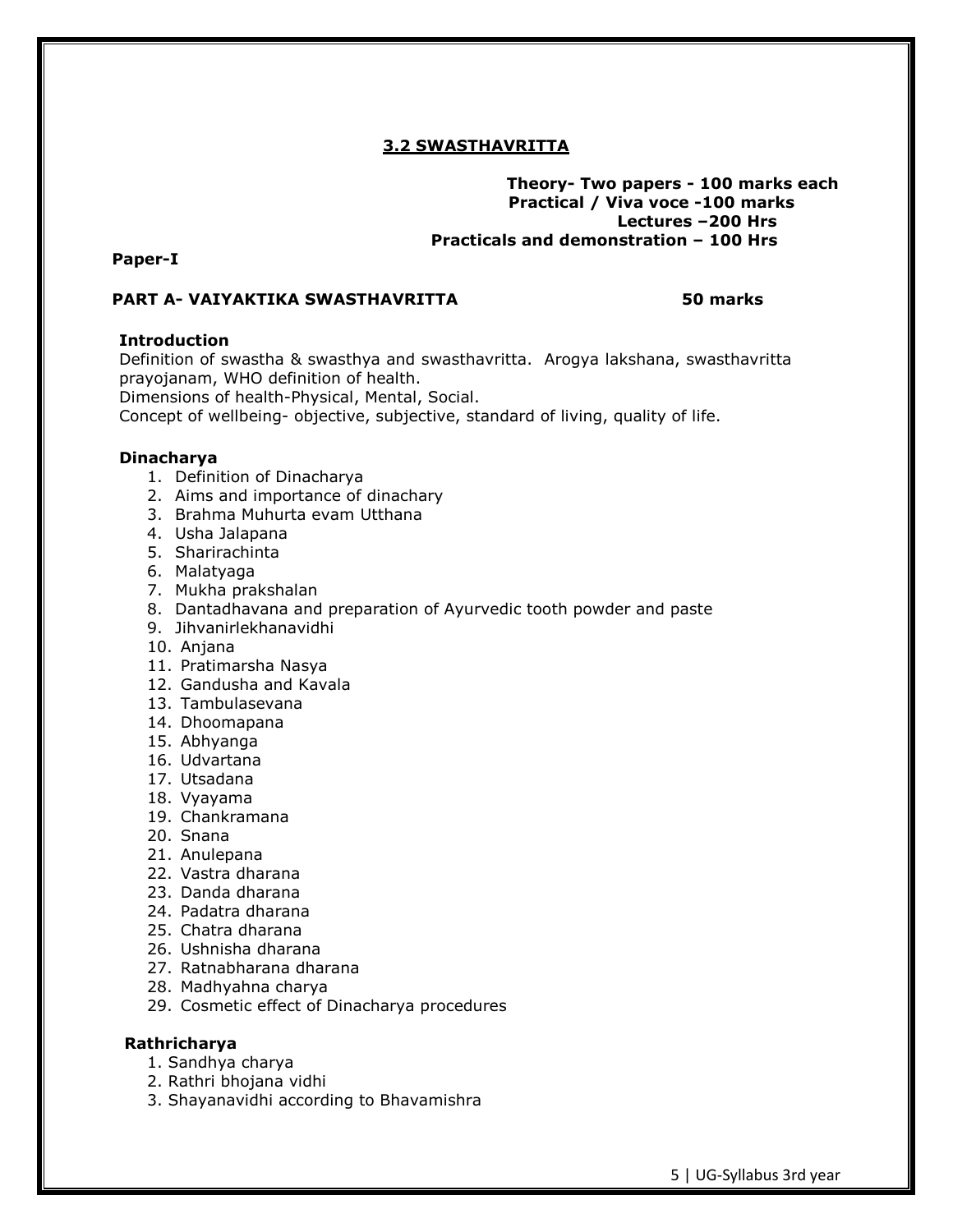# **3.2 SWASTHAVRITTA**

# **Theory- Two papers - 100 marks each Practical / Viva voce -100 marks Lectures –200 Hrs Practicals and demonstration – 100 Hrs**

# **Paper-I**

# **PART A- VAIYAKTIKA SWASTHAVRITTA 50 marks**

# **Introduction**

Definition of swastha & swasthya and swasthavritta. Arogya lakshana, swasthavritta prayojanam, WHO definition of health.

Dimensions of health-Physical, Mental, Social.

Concept of wellbeing- objective, subjective, standard of living, quality of life.

### **Dinacharya**

- 1. Definition of Dinacharya
- 2. Aims and importance of dinachary
- 3. Brahma Muhurta evam Utthana
- 4. Usha Jalapana
- 5. Sharirachinta
- 6. Malatyaga
- 7. Mukha prakshalan
- 8. Dantadhavana and preparation of Ayurvedic tooth powder and paste
- 9. Jihvanirlekhanavidhi
- 10. Anjana
- 11. Pratimarsha Nasya
- 12. Gandusha and Kavala
- 13. Tambulasevana
- 14. Dhoomapana
- 15. Abhyanga
- 16. Udvartana
- 17. Utsadana
- 18. Vyayama
- 19. Chankramana
- 20. Snana
- 21. Anulepana
- 22. Vastra dharana
- 23. Danda dharana
- 24. Padatra dharana
- 25. Chatra dharana
- 26. Ushnisha dharana
- 27. Ratnabharana dharana
- 28. Madhyahna charya
- 29. Cosmetic effect of Dinacharya procedures

# **Rathricharya**

- 1. Sandhya charya
- 2. Rathri bhojana vidhi
- 3. Shayanavidhi according to Bhavamishra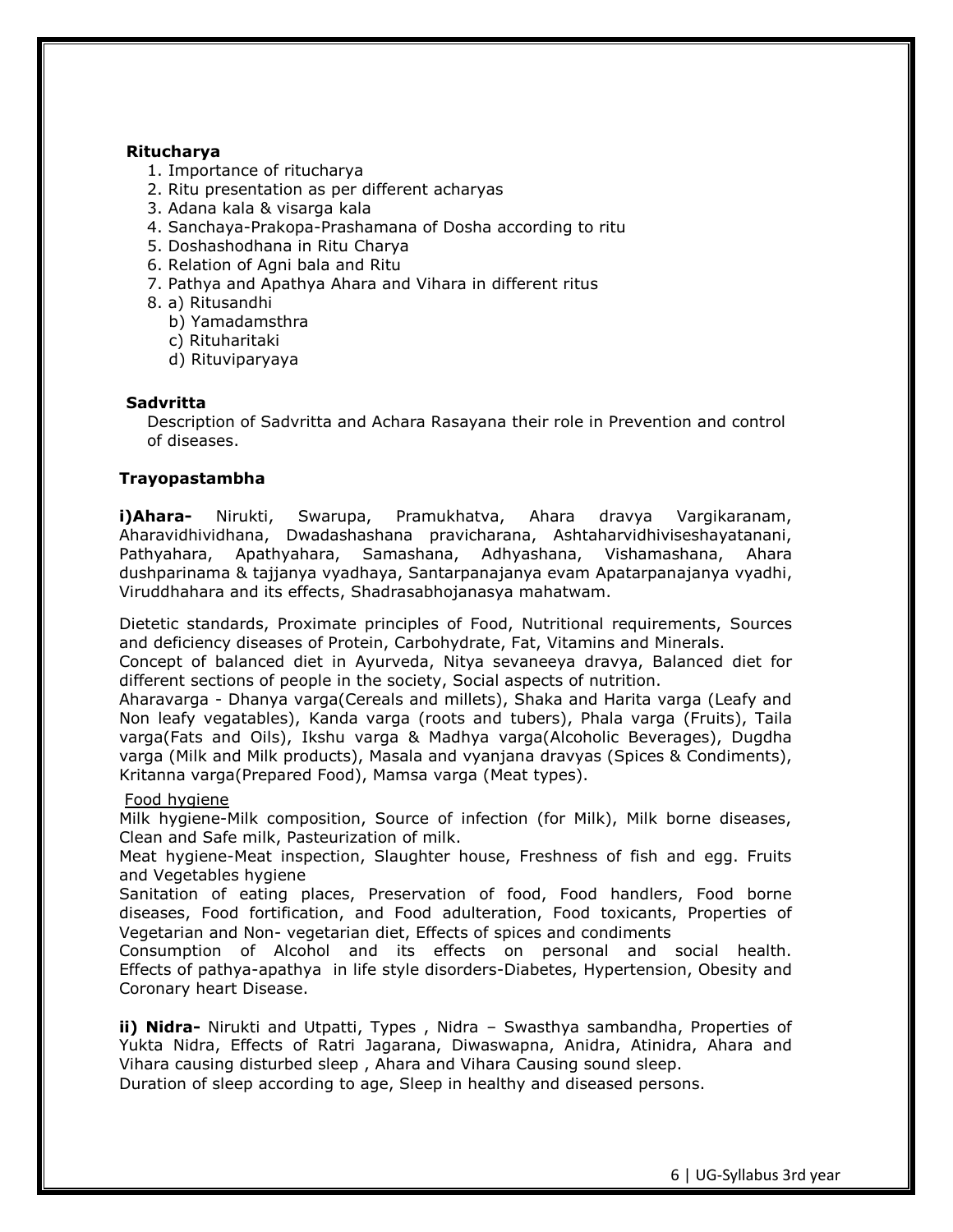### **Ritucharya**

- 1. Importance of ritucharya
- 2. Ritu presentation as per different acharyas
- 3. Adana kala & visarga kala
- 4. Sanchaya-Prakopa-Prashamana of Dosha according to ritu
- 5. Doshashodhana in Ritu Charya
- 6. Relation of Agni bala and Ritu
- 7. Pathya and Apathya Ahara and Vihara in different ritus
- 8. a) Ritusandhi
	- b) Yamadamsthra
	- c) Rituharitaki
	- d) Rituviparyaya

# **Sadvritta**

Description of Sadvritta and Achara Rasayana their role in Prevention and control of diseases.

# **Trayopastambha**

**i)Ahara-** Nirukti, Swarupa, Pramukhatva, Ahara dravya Vargikaranam, Aharavidhividhana, Dwadashashana pravicharana, Ashtaharvidhiviseshayatanani, Pathyahara, Apathyahara, Samashana, Adhyashana, Vishamashana, Ahara dushparinama & tajjanya vyadhaya, Santarpanajanya evam Apatarpanajanya vyadhi, Viruddhahara and its effects, Shadrasabhojanasya mahatwam.

Dietetic standards, Proximate principles of Food, Nutritional requirements, Sources and deficiency diseases of Protein, Carbohydrate, Fat, Vitamins and Minerals.

Concept of balanced diet in Ayurveda, Nitya sevaneeya dravya, Balanced diet for different sections of people in the society, Social aspects of nutrition.

Aharavarga - Dhanya varga(Cereals and millets), Shaka and Harita varga (Leafy and Non leafy vegatables), Kanda varga (roots and tubers), Phala varga (Fruits), Taila varga(Fats and Oils), Ikshu varga & Madhya varga(Alcoholic Beverages), Dugdha varga (Milk and Milk products), Masala and vyanjana dravyas (Spices & Condiments), Kritanna varga(Prepared Food), Mamsa varga (Meat types).

# Food hygiene

Milk hygiene-Milk composition, Source of infection (for Milk), Milk borne diseases, Clean and Safe milk, Pasteurization of milk.

Meat hygiene-Meat inspection, Slaughter house, Freshness of fish and egg. Fruits and Vegetables hygiene

Sanitation of eating places, Preservation of food, Food handlers, Food borne diseases, Food fortification, and Food adulteration, Food toxicants, Properties of Vegetarian and Non- vegetarian diet, Effects of spices and condiments

Consumption of Alcohol and its effects on personal and social health. Effects of pathya-apathya in life style disorders-Diabetes, Hypertension, Obesity and Coronary heart Disease.

**ii) Nidra-** Nirukti and Utpatti, Types , Nidra – Swasthya sambandha, Properties of Yukta Nidra, Effects of Ratri Jagarana, Diwaswapna, Anidra, Atinidra, Ahara and Vihara causing disturbed sleep , Ahara and Vihara Causing sound sleep.

Duration of sleep according to age, Sleep in healthy and diseased persons.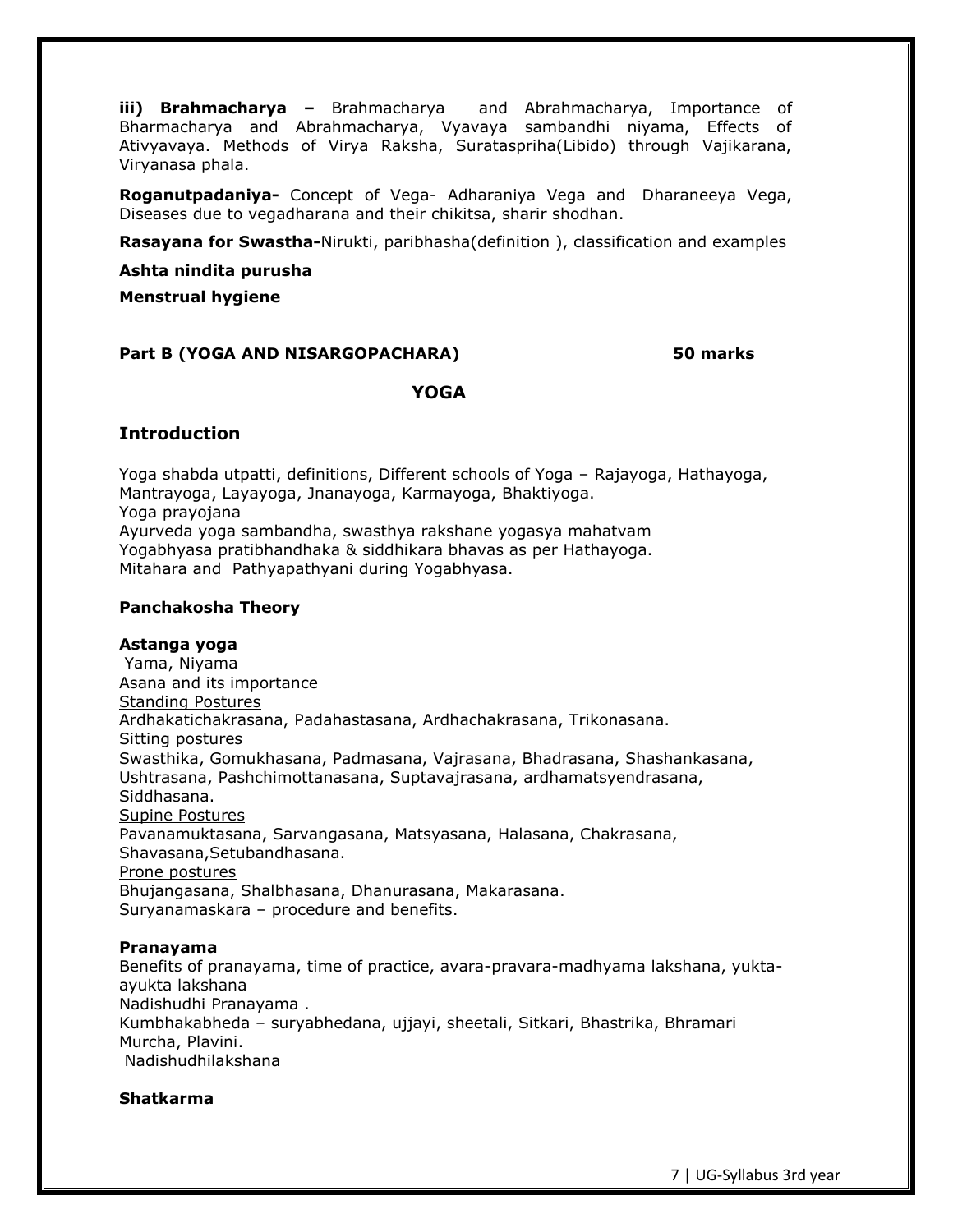**iii) Brahmacharya –** Brahmacharya and Abrahmacharya, Importance of Bharmacharya and Abrahmacharya, Vyavaya sambandhi niyama, Effects of Ativyavaya. Methods of Virya Raksha, Surataspriha(Libido) through Vajikarana, Viryanasa phala.

**Roganutpadaniya-** Concept of Vega- Adharaniya Vega and Dharaneeya Vega, Diseases due to vegadharana and their chikitsa, sharir shodhan.

**Rasayana for Swastha-**Nirukti, paribhasha(definition ), classification and examples

**Ashta nindita purusha**

**Menstrual hygiene**

# **Part B (YOGA AND NISARGOPACHARA) 50 marks**

### **YOGA**

### **Introduction**

Yoga shabda utpatti, definitions, Different schools of Yoga – Rajayoga, Hathayoga, Mantrayoga, Layayoga, Jnanayoga, Karmayoga, Bhaktiyoga. Yoga prayojana Ayurveda yoga sambandha, swasthya rakshane yogasya mahatvam Yogabhyasa pratibhandhaka & siddhikara bhavas as per Hathayoga. Mitahara and Pathyapathyani during Yogabhyasa.

#### **Panchakosha Theory**

#### **Astanga yoga**

Yama, Niyama Asana and its importance Standing Postures Ardhakatichakrasana, Padahastasana, Ardhachakrasana, Trikonasana. Sitting postures Swasthika, Gomukhasana, Padmasana, Vajrasana, Bhadrasana, Shashankasana, Ushtrasana, Pashchimottanasana, Suptavajrasana, ardhamatsyendrasana, Siddhasana. Supine Postures Pavanamuktasana, Sarvangasana, Matsyasana, Halasana, Chakrasana, Shavasana,Setubandhasana. Prone postures Bhujangasana, Shalbhasana, Dhanurasana, Makarasana. Suryanamaskara – procedure and benefits.

#### **Pranayama**

Benefits of pranayama, time of practice, avara-pravara-madhyama lakshana, yuktaayukta lakshana Nadishudhi Pranayama . Kumbhakabheda – suryabhedana, ujjayi, sheetali, Sitkari, Bhastrika, Bhramari Murcha, Plavini. Nadishudhilakshana

#### **Shatkarma**

7 | UG-Syllabus 3rd year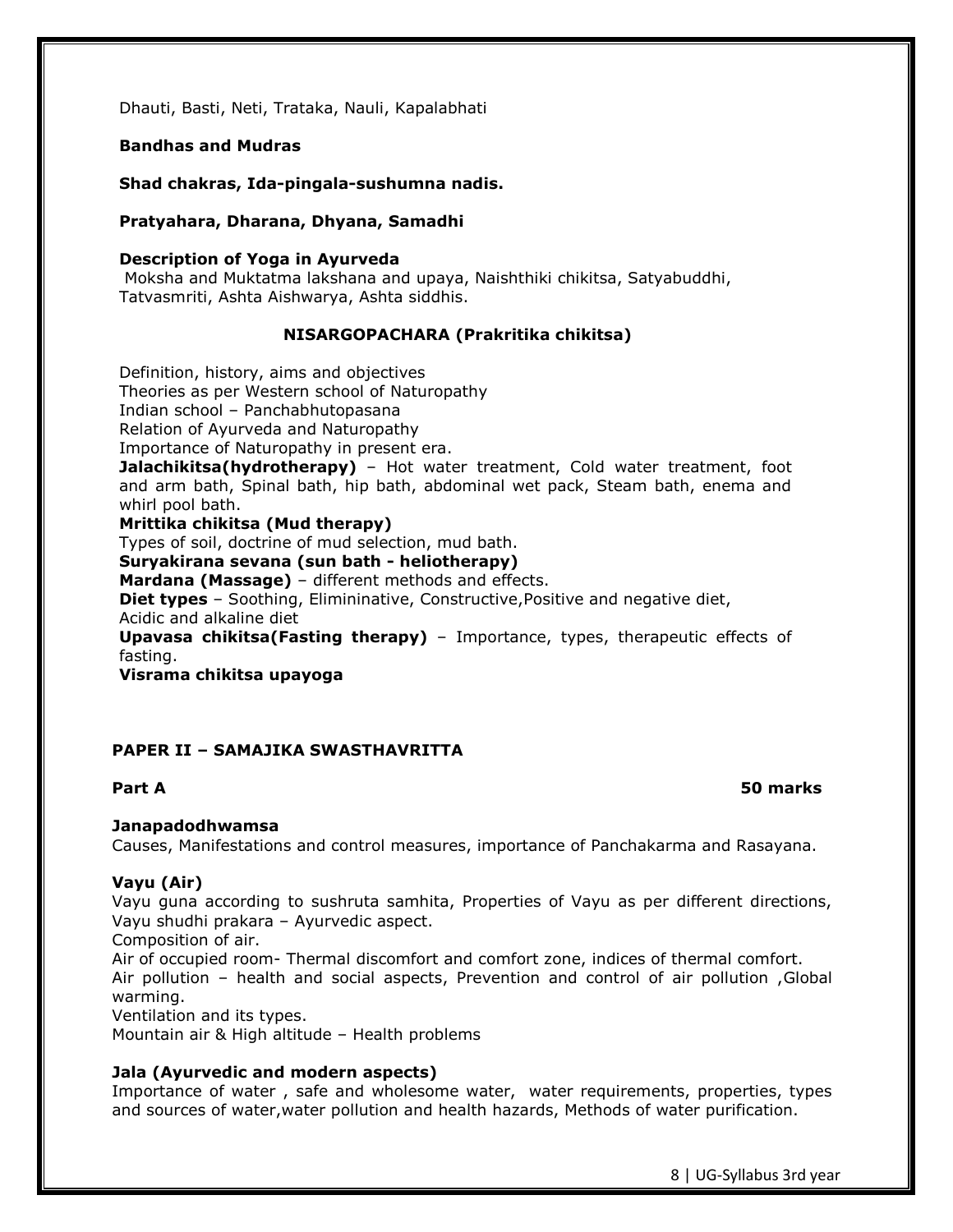Dhauti, Basti, Neti, Trataka, Nauli, Kapalabhati

### **Bandhas and Mudras**

**Shad chakras, Ida-pingala-sushumna nadis.**

### **Pratyahara, Dharana, Dhyana, Samadhi**

#### **Description of Yoga in Ayurveda**

Moksha and Muktatma lakshana and upaya, Naishthiki chikitsa, Satyabuddhi, Tatvasmriti, Ashta Aishwarya, Ashta siddhis.

# **NISARGOPACHARA (Prakritika chikitsa)**

Definition, history, aims and objectives

Theories as per Western school of Naturopathy

Indian school – Panchabhutopasana

Relation of Ayurveda and Naturopathy

Importance of Naturopathy in present era.

**Jalachikitsa(hydrotherapy)** – Hot water treatment, Cold water treatment, foot and arm bath, Spinal bath, hip bath, abdominal wet pack, Steam bath, enema and whirl pool bath.

# **Mrittika chikitsa (Mud therapy)**

Types of soil, doctrine of mud selection, mud bath.

**Suryakirana sevana (sun bath - heliotherapy)**

**Mardana (Massage)** – different methods and effects.

**Diet types** – Soothing, Elimininative, Constructive, Positive and negative diet, Acidic and alkaline diet

**Upavasa chikitsa(Fasting therapy)** – Importance, types, therapeutic effects of fasting.

**Visrama chikitsa upayoga**

# **PAPER II – SAMAJIKA SWASTHAVRITTA**

# **Part A 50 marks**

# **Janapadodhwamsa**

Causes, Manifestations and control measures, importance of Panchakarma and Rasayana.

# **Vayu (Air)**

Vayu guna according to sushruta samhita, Properties of Vayu as per different directions, Vayu shudhi prakara – Ayurvedic aspect.

Composition of air.

Air of occupied room- Thermal discomfort and comfort zone, indices of thermal comfort. Air pollution – health and social aspects, Prevention and control of air pollution ,Global warming.

Ventilation and its types.

Mountain air & High altitude – Health problems

# **Jala (Ayurvedic and modern aspects)**

Importance of water , safe and wholesome water, water requirements, properties, types and sources of water,water pollution and health hazards, Methods of water purification.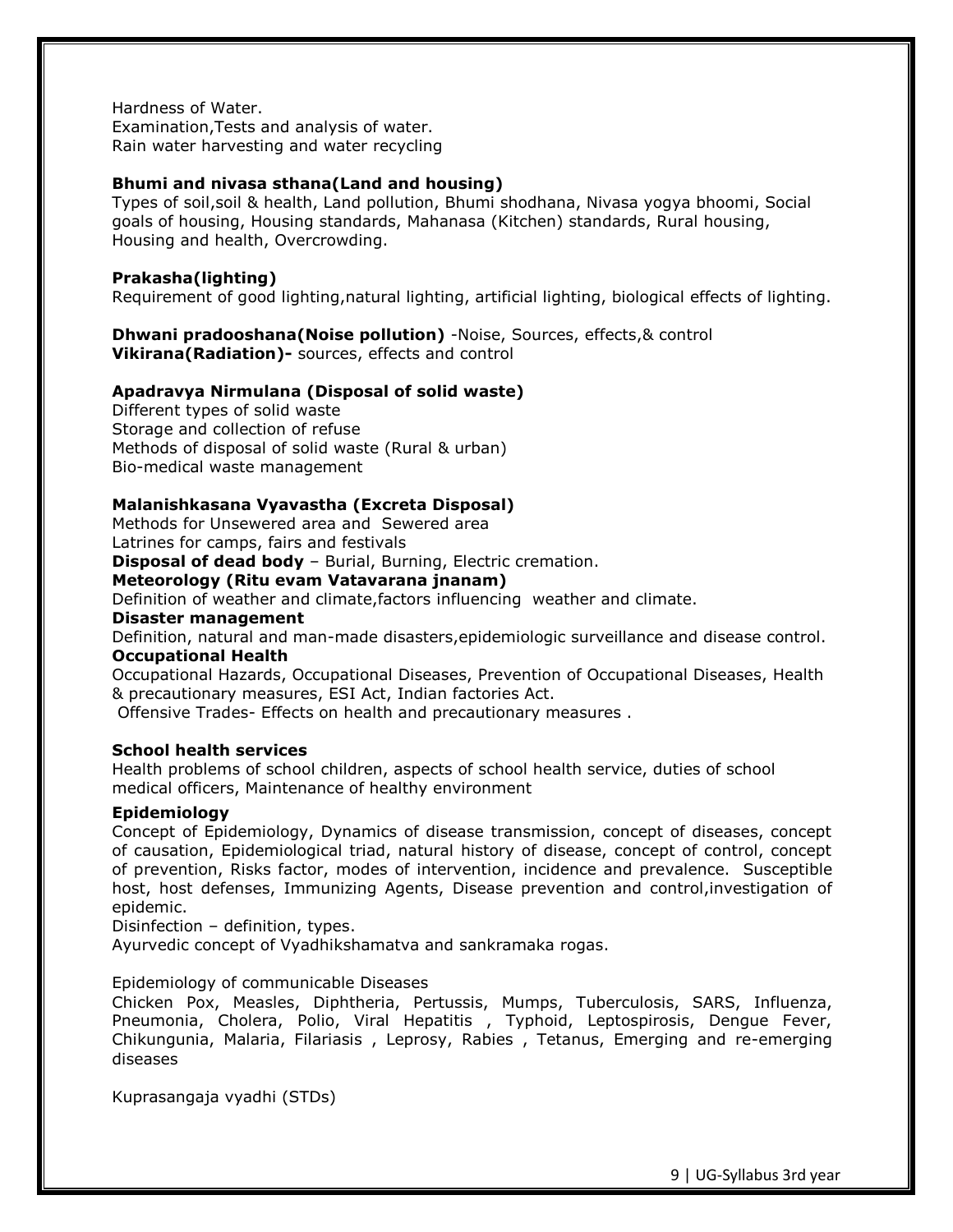Hardness of Water. Examination,Tests and analysis of water. Rain water harvesting and water recycling

### **Bhumi and nivasa sthana(Land and housing)**

Types of soil,soil & health, Land pollution, Bhumi shodhana, Nivasa yogya bhoomi, Social goals of housing, Housing standards, Mahanasa (Kitchen) standards, Rural housing, Housing and health, Overcrowding.

# **Prakasha(lighting)**

Requirement of good lighting,natural lighting, artificial lighting, biological effects of lighting.

#### **Dhwani pradooshana(Noise pollution)** -Noise, Sources, effects,& control **Vikirana(Radiation)-** sources, effects and control

#### **Apadravya Nirmulana (Disposal of solid waste)**

Different types of solid waste Storage and collection of refuse Methods of disposal of solid waste (Rural & urban) Bio-medical waste management

### **Malanishkasana Vyavastha (Excreta Disposal)**

Methods for Unsewered area and Sewered area Latrines for camps, fairs and festivals

**Disposal of dead body** – Burial, Burning, Electric cremation.

# **Meteorology (Ritu evam Vatavarana jnanam)**

Definition of weather and climate,factors influencing weather and climate.

#### **Disaster management**

Definition, natural and man-made disasters,epidemiologic surveillance and disease control. **Occupational Health**

Occupational Hazards, Occupational Diseases, Prevention of Occupational Diseases, Health & precautionary measures, ESI Act, Indian factories Act.

Offensive Trades- Effects on health and precautionary measures .

#### **School health services**

Health problems of school children, aspects of school health service, duties of school medical officers, Maintenance of healthy environment

#### **Epidemiology**

Concept of Epidemiology, Dynamics of disease transmission, concept of diseases, concept of causation, Epidemiological triad, natural history of disease, concept of control, concept of prevention, Risks factor, modes of intervention, incidence and prevalence. Susceptible host, host defenses, Immunizing Agents, Disease prevention and control,investigation of epidemic.

Disinfection – definition, types.

Ayurvedic concept of Vyadhikshamatva and sankramaka rogas.

#### Epidemiology of communicable Diseases

Chicken Pox, Measles, Diphtheria, Pertussis, Mumps, Tuberculosis, SARS, Influenza, Pneumonia, Cholera, Polio, Viral Hepatitis , Typhoid, Leptospirosis, Dengue Fever, Chikungunia, Malaria, Filariasis , Leprosy, Rabies , Tetanus, Emerging and re-emerging diseases

Kuprasangaja vyadhi (STDs)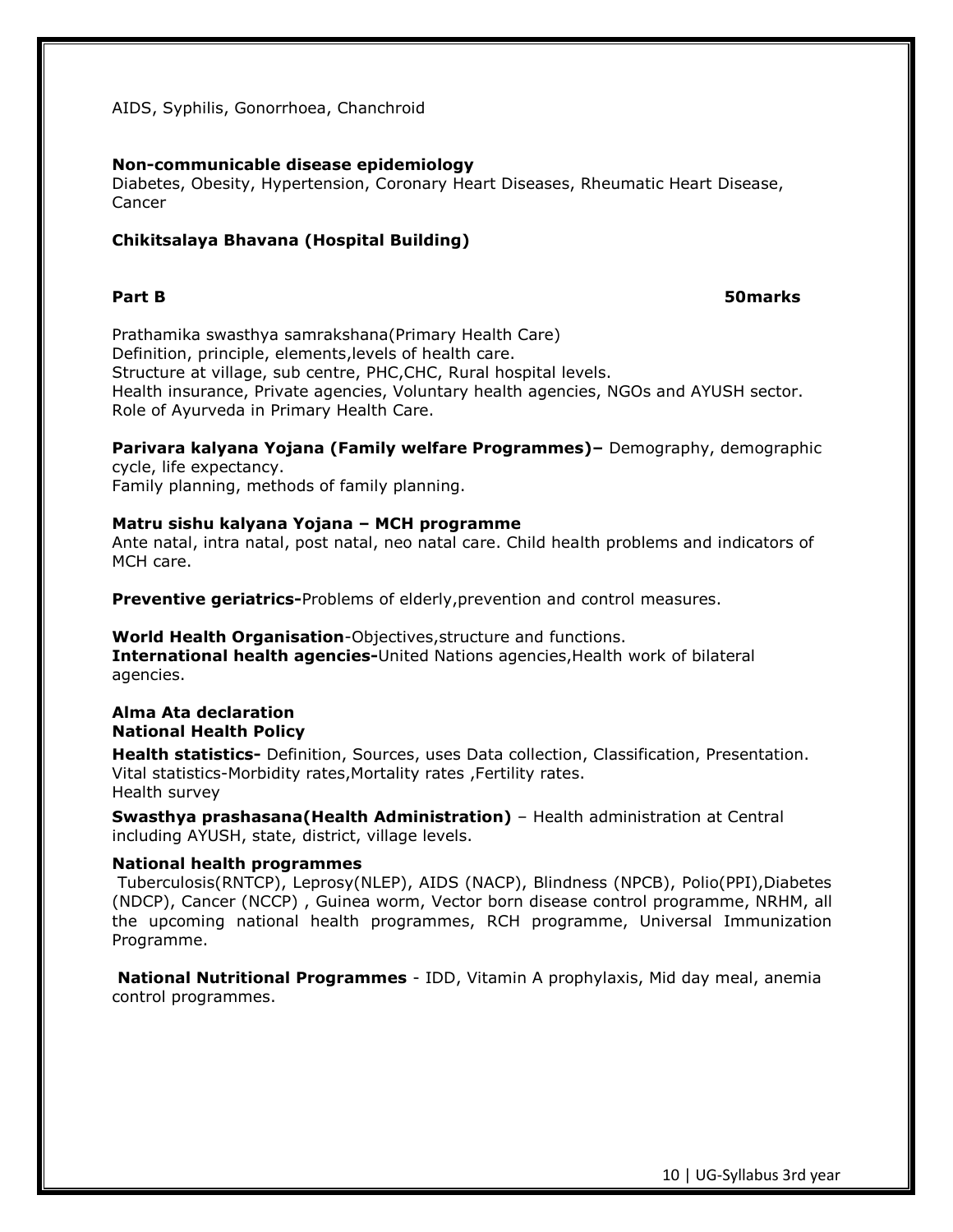AIDS, Syphilis, Gonorrhoea, Chanchroid

#### **Non-communicable disease epidemiology**

Diabetes, Obesity, Hypertension, Coronary Heart Diseases, Rheumatic Heart Disease, Cancer

### **Chikitsalaya Bhavana (Hospital Building)**

### **Part B 50marks**

Prathamika swasthya samrakshana(Primary Health Care) Definition, principle, elements,levels of health care. Structure at village, sub centre, PHC,CHC, Rural hospital levels. Health insurance, Private agencies, Voluntary health agencies, NGOs and AYUSH sector. Role of Ayurveda in Primary Health Care.

**Parivara kalyana Yojana (Family welfare Programmes)–** Demography, demographic cycle, life expectancy. Family planning, methods of family planning.

#### **Matru sishu kalyana Yojana – MCH programme** Ante natal, intra natal, post natal, neo natal care. Child health problems and indicators of MCH care.

**Preventive geriatrics-**Problems of elderly,prevention and control measures.

### **World Health Organisation**-Objectives,structure and functions. **International health agencies-**United Nations agencies,Health work of bilateral agencies.

# **Alma Ata declaration National Health Policy**

**Health statistics-** Definition, Sources, uses Data collection, Classification, Presentation. Vital statistics-Morbidity rates,Mortality rates ,Fertility rates. Health survey

**Swasthya prashasana(Health Administration)** – Health administration at Central including AYUSH, state, district, village levels.

#### **National health programmes**

Tuberculosis(RNTCP), Leprosy(NLEP), AIDS (NACP), Blindness (NPCB), Polio(PPI),Diabetes (NDCP), Cancer (NCCP) , Guinea worm, Vector born disease control programme, NRHM, all the upcoming national health programmes, RCH programme, Universal Immunization Programme.

**National Nutritional Programmes** - IDD, Vitamin A prophylaxis, Mid day meal, anemia control programmes.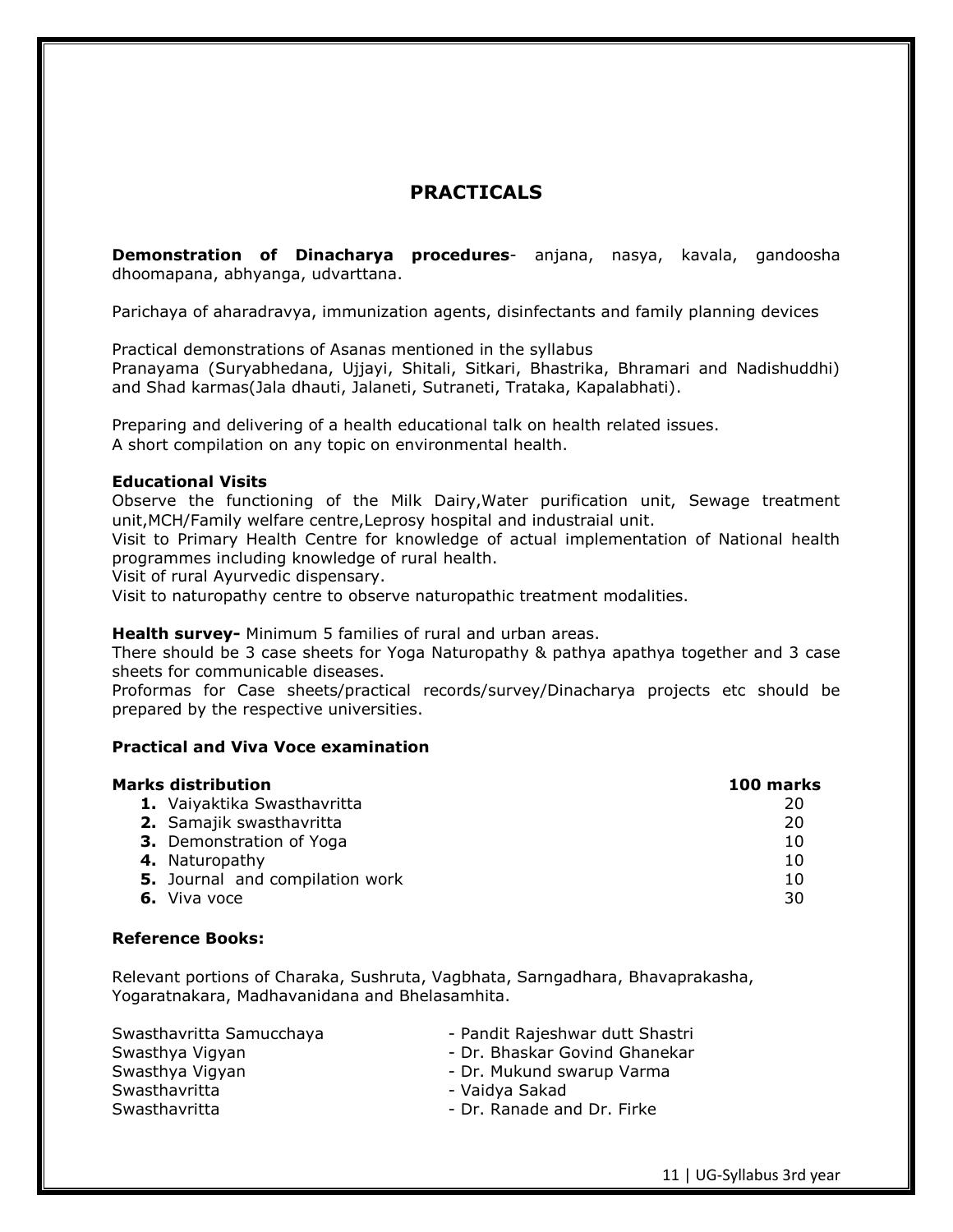# **PRACTICALS**

**Demonstration of Dinacharya procedures**- anjana, nasya, kavala, gandoosha dhoomapana, abhyanga, udvarttana.

Parichaya of aharadravya, immunization agents, disinfectants and family planning devices

Practical demonstrations of Asanas mentioned in the syllabus Pranayama (Suryabhedana, Ujjayi, Shitali, Sitkari, Bhastrika, Bhramari and Nadishuddhi) and Shad karmas(Jala dhauti, Jalaneti, Sutraneti, Trataka, Kapalabhati).

Preparing and delivering of a health educational talk on health related issues. A short compilation on any topic on environmental health.

### **Educational Visits**

Observe the functioning of the Milk Dairy,Water purification unit, Sewage treatment unit,MCH/Family welfare centre,Leprosy hospital and industraial unit.

Visit to Primary Health Centre for knowledge of actual implementation of National health programmes including knowledge of rural health.

Visit of rural Ayurvedic dispensary.

Visit to naturopathy centre to observe naturopathic treatment modalities.

**Health survey-** Minimum 5 families of rural and urban areas.

There should be 3 case sheets for Yoga Naturopathy & pathya apathya together and 3 case sheets for communicable diseases.

Proformas for Case sheets/practical records/survey/Dinacharya projects etc should be prepared by the respective universities.

### **Practical and Viva Voce examination**

| Marks distribution              | 100 marks |
|---------------------------------|-----------|
| 1. Vaiyaktika Swasthavritta     | 20        |
| 2. Samajik swasthavritta        | 20        |
| <b>3.</b> Demonstration of Yoga | 10        |
| 4. Naturopathy                  | 10        |
| 5. Journal and compilation work | 10        |
| 6. Viva voce                    | 30        |

#### **Reference Books:**

Relevant portions of Charaka, Sushruta, Vagbhata, Sarngadhara, Bhavaprakasha, Yogaratnakara, Madhavanidana and Bhelasamhita.

| Swasthavritta Samucchaya | - Pandit Rajeshwar dutt Shastri |
|--------------------------|---------------------------------|
| Swasthya Vigyan          | - Dr. Bhaskar Govind Ghanekar   |
| Swasthya Vigyan          | - Dr. Mukund swarup Varma       |
| Swasthavritta            | - Vaidya Sakad                  |
| Swasthavritta            | - Dr. Ranade and Dr. Firke      |

11 | UG-Syllabus 3rd year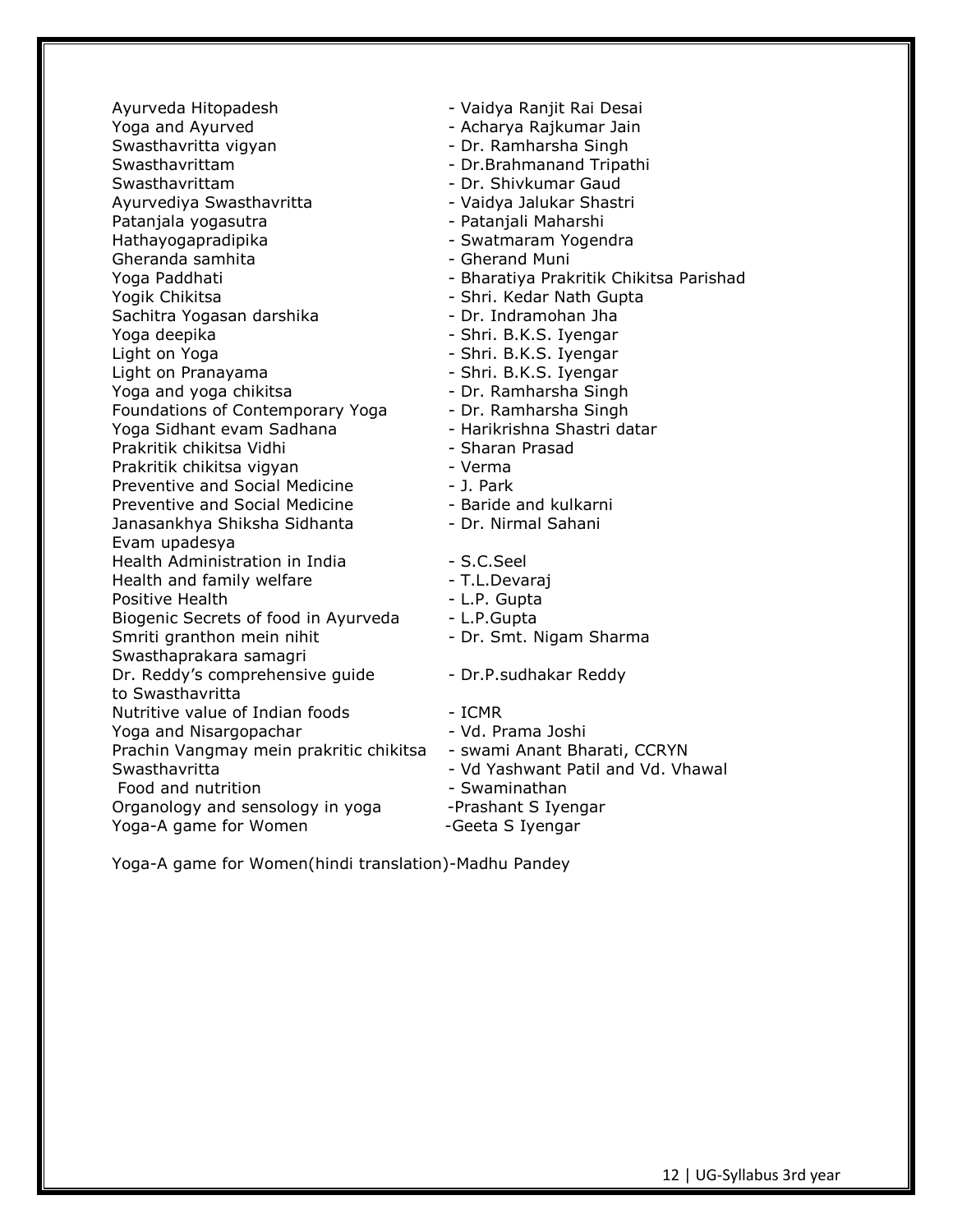Ayurveda Hitopadesh - Vaidya Ranjit Rai Desai Yoga and Ayurved **Constant Constructs** - Acharya Rajkumar Jain Swasthavritta vigyan - Dr. Ramharsha Singh Swasthavrittam - Dr.Brahmanand Tripathi Swasthavrittam - Dr. Shivkumar Gaud Ayurvediya Swasthavritta - Vaidya Jalukar Shastri Patanjala yogasutra - Patanjali Maharshi Hathayogapradipika - Swatmaram Yogendra Gheranda samhita - Gherand Muni Yoga Paddhati - Bharatiya Prakritik Chikitsa Parishad Yogik Chikitsa - Shri. Kedar Nath Gupta Sachitra Yogasan darshika - Dr. Indramohan Jha Yoga deepika - Shri. B.K.S. Iyengar Light on Yoga - Shri. B.K.S. Iyengar Light on Pranayama - The Shri. B.K.S. Iyengar Yoga and yoga chikitsa - Dr. Ramharsha Singh Foundations of Contemporary Yoga - Dr. Ramharsha Singh Yoga Sidhant evam Sadhana - Harikrishna Shastri datar Prakritik chikitsa Vidhi - Sharan Prasad Prakritik chikitsa vigyan - Verma Preventive and Social Medicine - T. Park Preventive and Social Medicine **- Baride and kulkarni** Janasankhya Shiksha Sidhanta - Dr. Nirmal Sahani Evam upadesya Health Administration in India - S.C.Seel Health and family welfare **- T.L.Devaraj** Positive Health - L.P. Gupta Biogenic Secrets of food in Ayurveda - L.P. Gupta Smriti granthon mein nihit - Dr. Smt. Nigam Sharma Swasthaprakara samagri Dr. Reddy's comprehensive guide - Dr.P. sudhakar Reddy to Swasthavritta Nutritive value of Indian foods The Mutritive value of Indian foods Yoga and Nisargopachar - Vd. Prama Joshi Prachin Vangmay mein prakritic chikitsa - swami Anant Bharati, CCRYN Swasthavritta - Vd Yashwant Patil and Vd. Vhawal Food and nutrition **Food and nutrition Food and nutrition** Organology and sensology in yoga -Prashant S Iyengar Yoga-A game for Women -Geeta S Iyengar

Yoga-A game for Women(hindi translation)-Madhu Pandey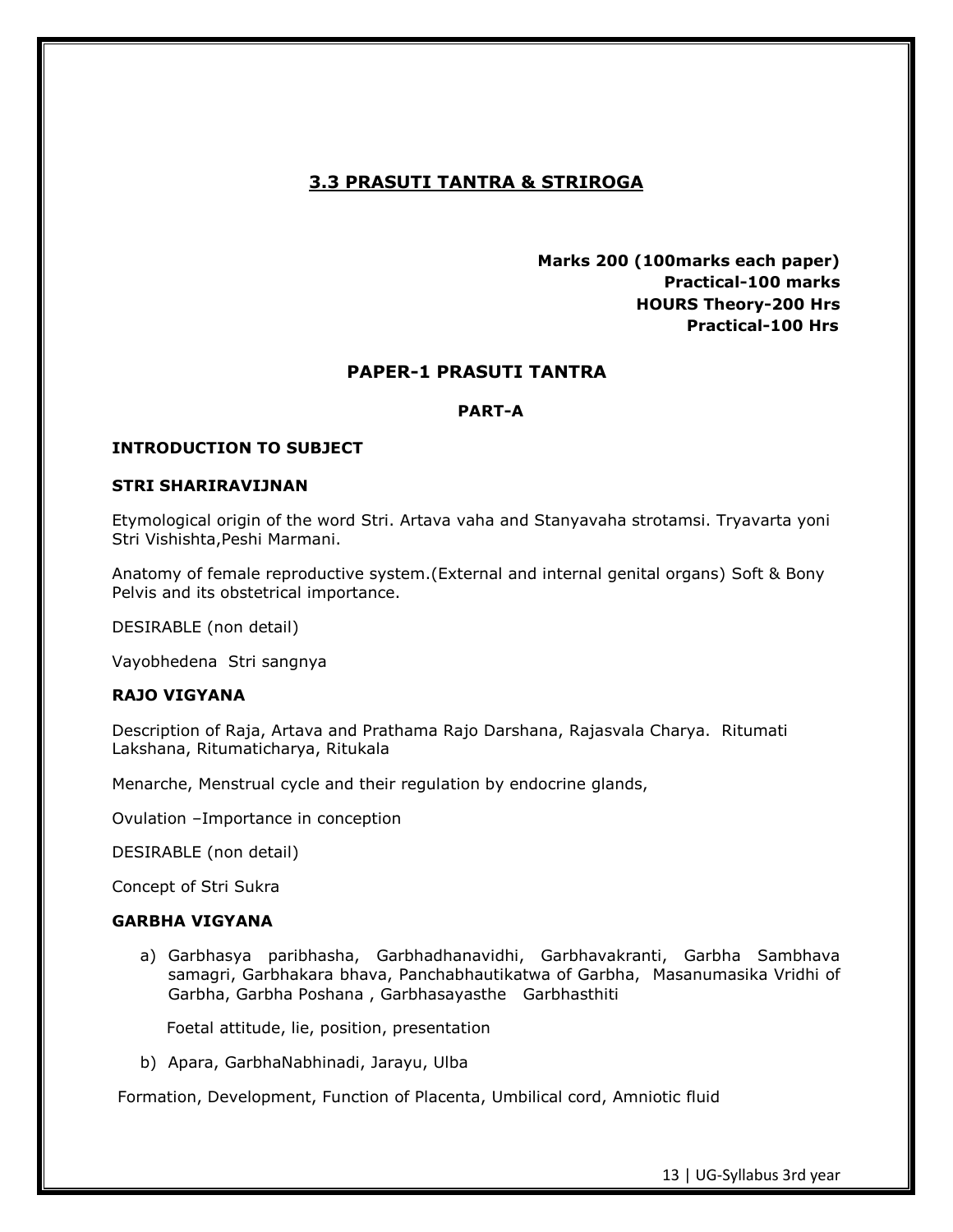# **3.3 PRASUTI TANTRA & STRIROGA**

 **Marks 200 (100marks each paper) Practical-100 marks HOURS Theory-200 Hrs Practical-100 Hrs**

# **PAPER-1 PRASUTI TANTRA**

# **PART-A**

### **INTRODUCTION TO SUBJECT**

#### **STRI SHARIRAVIJNAN**

Etymological origin of the word Stri. Artava vaha and Stanyavaha strotamsi. Tryavarta yoni Stri Vishishta,Peshi Marmani.

Anatomy of female reproductive system.(External and internal genital organs) Soft & Bony Pelvis and its obstetrical importance.

DESIRABLE (non detail)

Vayobhedena Stri sangnya

#### **RAJO VIGYANA**

Description of Raja, Artava and Prathama Rajo Darshana, Rajasvala Charya. Ritumati Lakshana, Ritumaticharya, Ritukala

Menarche, Menstrual cycle and their regulation by endocrine glands,

Ovulation –Importance in conception

DESIRABLE (non detail)

Concept of Stri Sukra

#### **GARBHA VIGYANA**

a) Garbhasya paribhasha, Garbhadhanavidhi, Garbhavakranti, Garbha Sambhava samagri, Garbhakara bhava, Panchabhautikatwa of Garbha, Masanumasika Vridhi of Garbha, Garbha Poshana , Garbhasayasthe Garbhasthiti

Foetal attitude, lie, position, presentation

b) Apara, GarbhaNabhinadi, Jarayu, Ulba

Formation, Development, Function of Placenta, Umbilical cord, Amniotic fluid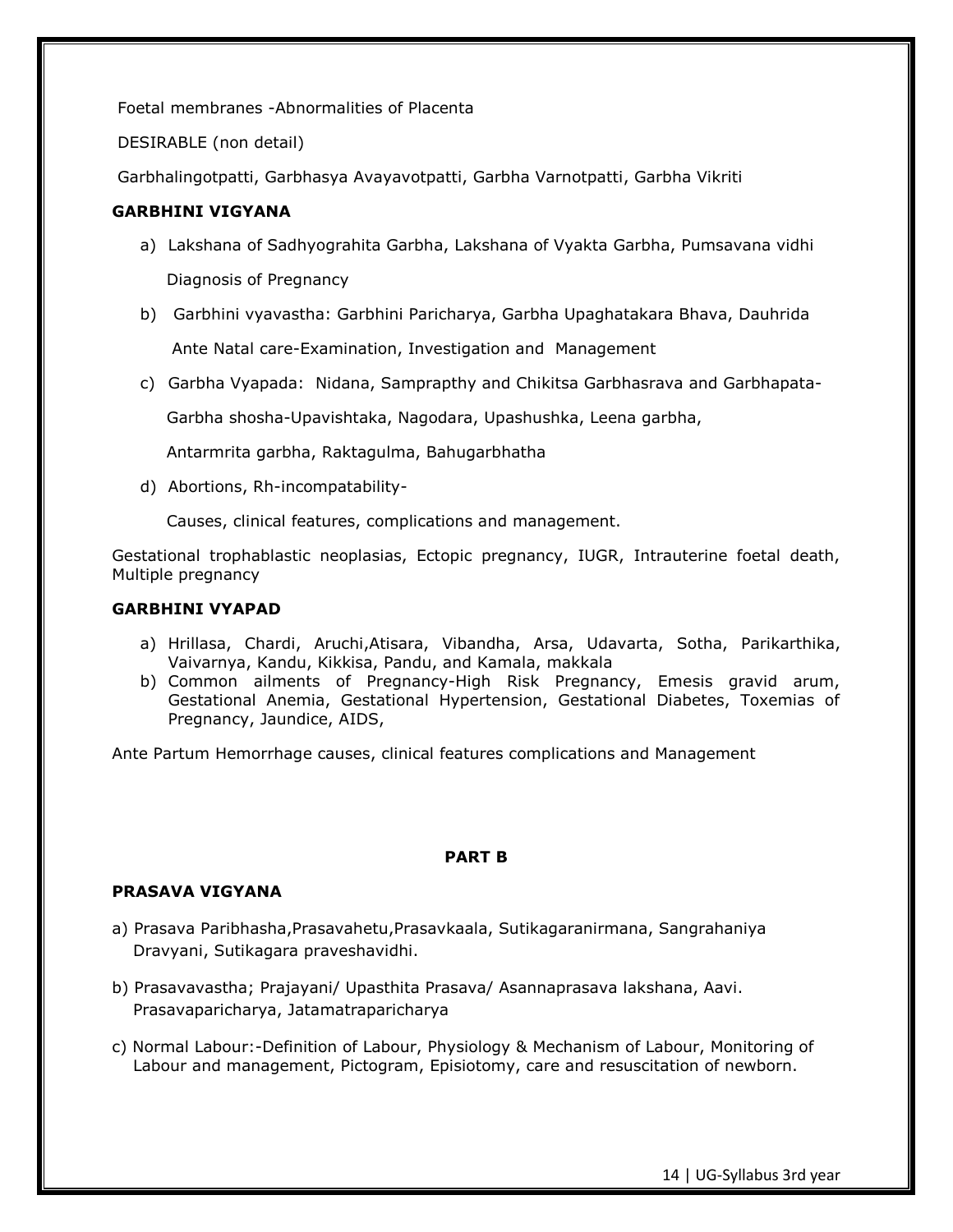Foetal membranes -Abnormalities of Placenta

DESIRABLE (non detail)

Garbhalingotpatti, Garbhasya Avayavotpatti, Garbha Varnotpatti, Garbha Vikriti

# **GARBHINI VIGYANA**

- a) Lakshana of Sadhyograhita Garbha, Lakshana of Vyakta Garbha, Pumsavana vidhi Diagnosis of Pregnancy
- b) Garbhini vyavastha: Garbhini Paricharya, Garbha Upaghatakara Bhava, Dauhrida Ante Natal care-Examination, Investigation and Management
- c) Garbha Vyapada: Nidana, Samprapthy and Chikitsa Garbhasrava and Garbhapata-

Garbha shosha-Upavishtaka, Nagodara, Upashushka, Leena garbha,

Antarmrita garbha, Raktagulma, Bahugarbhatha

d) Abortions, Rh-incompatability-

Causes, clinical features, complications and management.

Gestational trophablastic neoplasias, Ectopic pregnancy, IUGR, Intrauterine foetal death, Multiple pregnancy

# **GARBHINI VYAPAD**

- a) Hrillasa, Chardi, Aruchi,Atisara, Vibandha, Arsa, Udavarta, Sotha, Parikarthika, Vaivarnya, Kandu, Kikkisa, Pandu, and Kamala, makkala
- b) Common ailments of Pregnancy-High Risk Pregnancy, Emesis gravid arum, Gestational Anemia, Gestational Hypertension, Gestational Diabetes, Toxemias of Pregnancy, Jaundice, AIDS,

Ante Partum Hemorrhage causes, clinical features complications and Management

# **PART B**

# **PRASAVA VIGYANA**

- a) Prasava Paribhasha,Prasavahetu,Prasavkaala, Sutikagaranirmana, Sangrahaniya Dravyani, Sutikagara praveshavidhi.
- b) Prasavavastha; Prajayani/ Upasthita Prasava/ Asannaprasava lakshana, Aavi. Prasavaparicharya, Jatamatraparicharya
- c) Normal Labour:-Definition of Labour, Physiology & Mechanism of Labour, Monitoring of Labour and management, Pictogram, Episiotomy, care and resuscitation of newborn.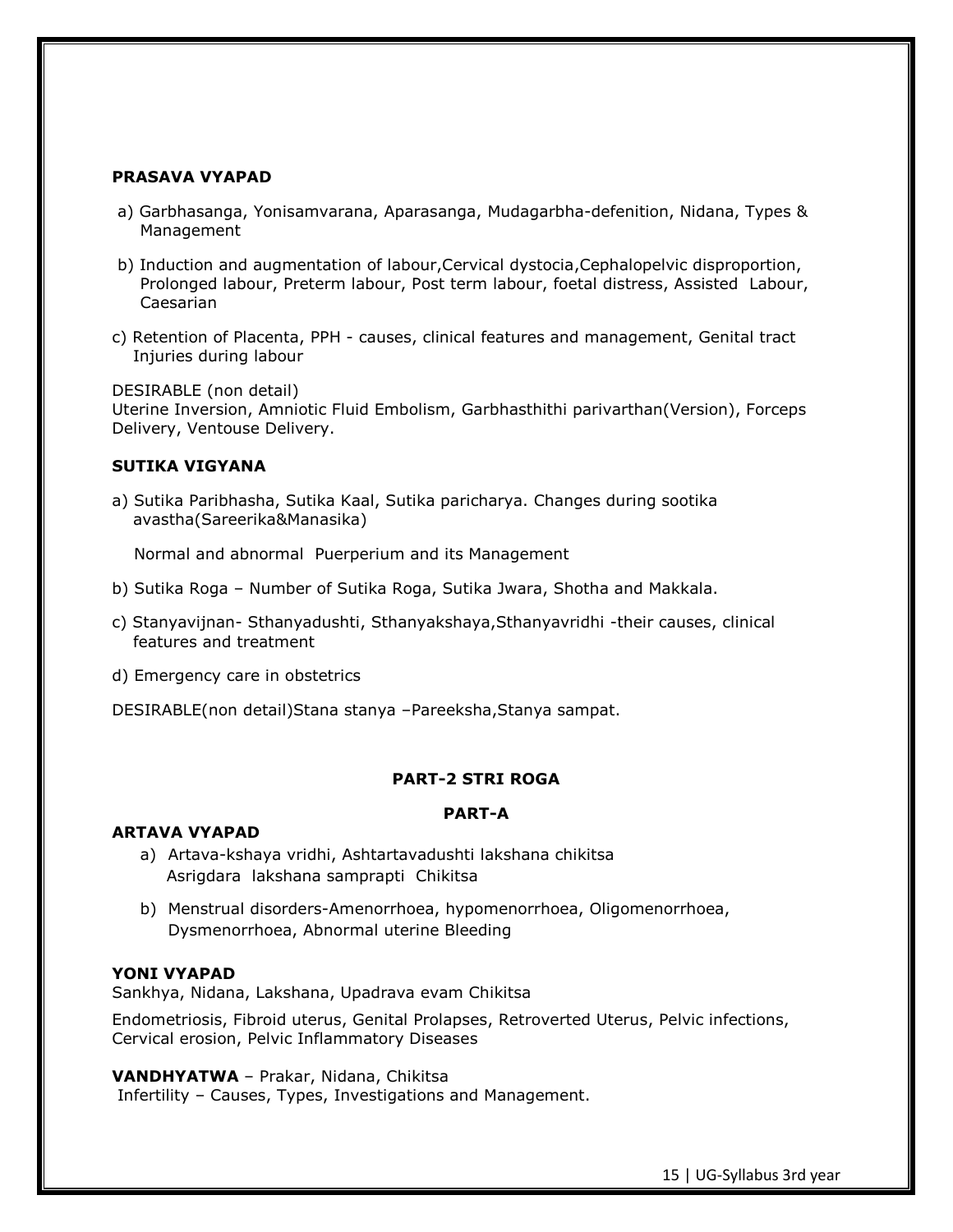### **PRASAVA VYAPAD**

- a) Garbhasanga, Yonisamvarana, Aparasanga, Mudagarbha-defenition, Nidana, Types & Management
- b) Induction and augmentation of labour,Cervical dystocia,Cephalopelvic disproportion, Prolonged labour, Preterm labour, Post term labour, foetal distress, Assisted Labour, Caesarian
- c) Retention of Placenta, PPH causes, clinical features and management, Genital tract Injuries during labour

DESIRABLE (non detail)

Uterine Inversion, Amniotic Fluid Embolism, Garbhasthithi parivarthan(Version), Forceps Delivery, Ventouse Delivery.

### **SUTIKA VIGYANA**

a) Sutika Paribhasha, Sutika Kaal, Sutika paricharya. Changes during sootika avastha(Sareerika&Manasika)

Normal and abnormal Puerperium and its Management

- b) Sutika Roga Number of Sutika Roga, Sutika Jwara, Shotha and Makkala.
- c) Stanyavijnan- Sthanyadushti, Sthanyakshaya,Sthanyavridhi -their causes, clinical features and treatment
- d) Emergency care in obstetrics

DESIRABLE(non detail)Stana stanya –Pareeksha,Stanya sampat.

# **PART-2 STRI ROGA**

#### **PART-A**

#### **ARTAVA VYAPAD**

- a) Artava-kshaya vridhi, Ashtartavadushti lakshana chikitsa Asrigdara lakshana samprapti Chikitsa
- b) Menstrual disorders-Amenorrhoea, hypomenorrhoea, Oligomenorrhoea, Dysmenorrhoea, Abnormal uterine Bleeding

# **YONI VYAPAD**

Sankhya, Nidana, Lakshana, Upadrava evam Chikitsa

Endometriosis, Fibroid uterus, Genital Prolapses, Retroverted Uterus, Pelvic infections, Cervical erosion, Pelvic Inflammatory Diseases

#### **VANDHYATWA** – Prakar, Nidana, Chikitsa

Infertility – Causes, Types, Investigations and Management.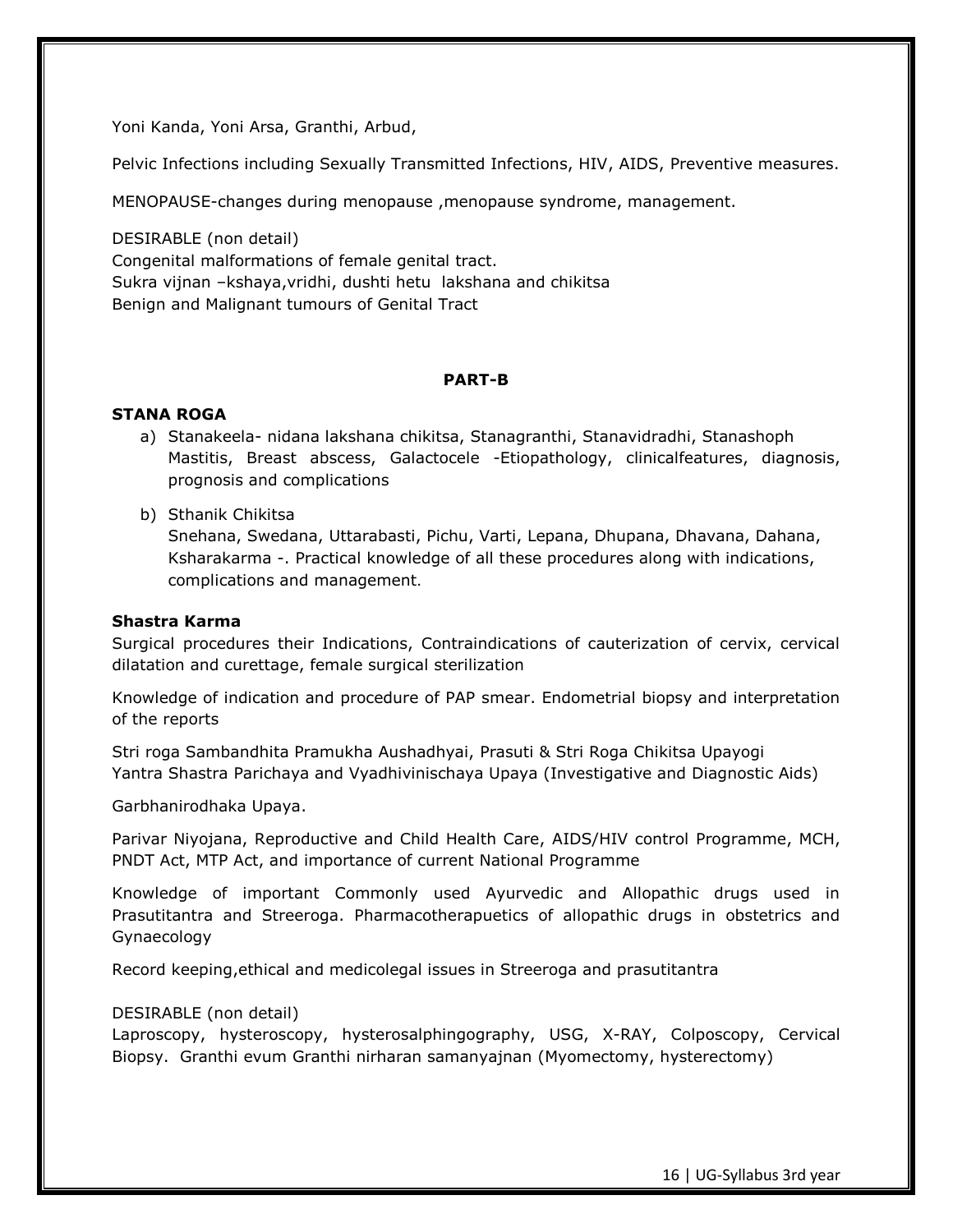Yoni Kanda, Yoni Arsa, Granthi, Arbud,

Pelvic Infections including Sexually Transmitted Infections, HIV, AIDS, Preventive measures.

MENOPAUSE-changes during menopause ,menopause syndrome, management.

DESIRABLE (non detail) Congenital malformations of female genital tract. Sukra vijnan –kshaya,vridhi, dushti hetu lakshana and chikitsa Benign and Malignant tumours of Genital Tract

### **PART-B**

### **STANA ROGA**

- a) Stanakeela- nidana lakshana chikitsa, Stanagranthi, Stanavidradhi, Stanashoph Mastitis, Breast abscess, Galactocele -Etiopathology, clinicalfeatures, diagnosis, prognosis and complications
- b) Sthanik Chikitsa

Snehana, Swedana, Uttarabasti, Pichu, Varti, Lepana, Dhupana, Dhavana, Dahana, Ksharakarma -. Practical knowledge of all these procedures along with indications, complications and management.

#### **Shastra Karma**

Surgical procedures their Indications, Contraindications of cauterization of cervix, cervical dilatation and curettage, female surgical sterilization

Knowledge of indication and procedure of PAP smear. Endometrial biopsy and interpretation of the reports

Stri roga Sambandhita Pramukha Aushadhyai, Prasuti & Stri Roga Chikitsa Upayogi Yantra Shastra Parichaya and Vyadhivinischaya Upaya (Investigative and Diagnostic Aids)

Garbhanirodhaka Upaya.

Parivar Niyojana, Reproductive and Child Health Care, AIDS/HIV control Programme, MCH, PNDT Act, MTP Act, and importance of current National Programme

Knowledge of important Commonly used Ayurvedic and Allopathic drugs used in Prasutitantra and Streeroga. Pharmacotherapuetics of allopathic drugs in obstetrics and Gynaecology

Record keeping,ethical and medicolegal issues in Streeroga and prasutitantra

#### DESIRABLE (non detail)

Laproscopy, hysteroscopy, hysterosalphingography, USG, X-RAY, Colposcopy, Cervical Biopsy. Granthi evum Granthi nirharan samanyajnan (Myomectomy, hysterectomy)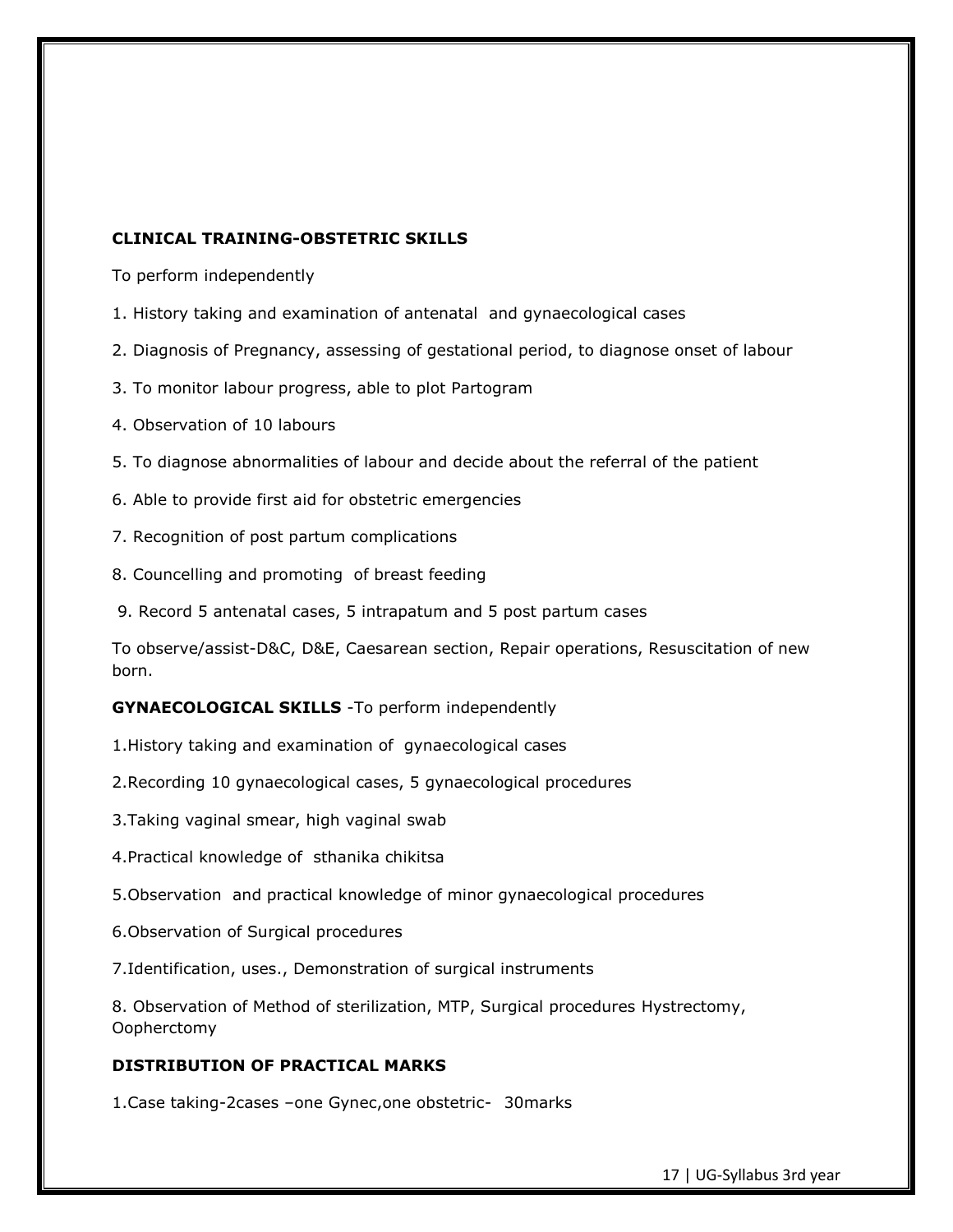### **CLINICAL TRAINING-OBSTETRIC SKILLS**

To perform independently

- 1. History taking and examination of antenatal and gynaecological cases
- 2. Diagnosis of Pregnancy, assessing of gestational period, to diagnose onset of labour
- 3. To monitor labour progress, able to plot Partogram
- 4. Observation of 10 labours
- 5. To diagnose abnormalities of labour and decide about the referral of the patient
- 6. Able to provide first aid for obstetric emergencies
- 7. Recognition of post partum complications
- 8. Councelling and promoting of breast feeding
- 9. Record 5 antenatal cases, 5 intrapatum and 5 post partum cases

To observe/assist-D&C, D&E, Caesarean section, Repair operations, Resuscitation of new born.

**GYNAECOLOGICAL SKILLS** -To perform independently

1.History taking and examination of gynaecological cases

- 2.Recording 10 gynaecological cases, 5 gynaecological procedures
- 3.Taking vaginal smear, high vaginal swab
- 4.Practical knowledge of sthanika chikitsa
- 5.Observation and practical knowledge of minor gynaecological procedures
- 6.Observation of Surgical procedures
- 7.Identification, uses., Demonstration of surgical instruments

8. Observation of Method of sterilization, MTP, Surgical procedures Hystrectomy, Oopherctomy

# **DISTRIBUTION OF PRACTICAL MARKS**

1.Case taking-2cases –one Gynec,one obstetric- 30marks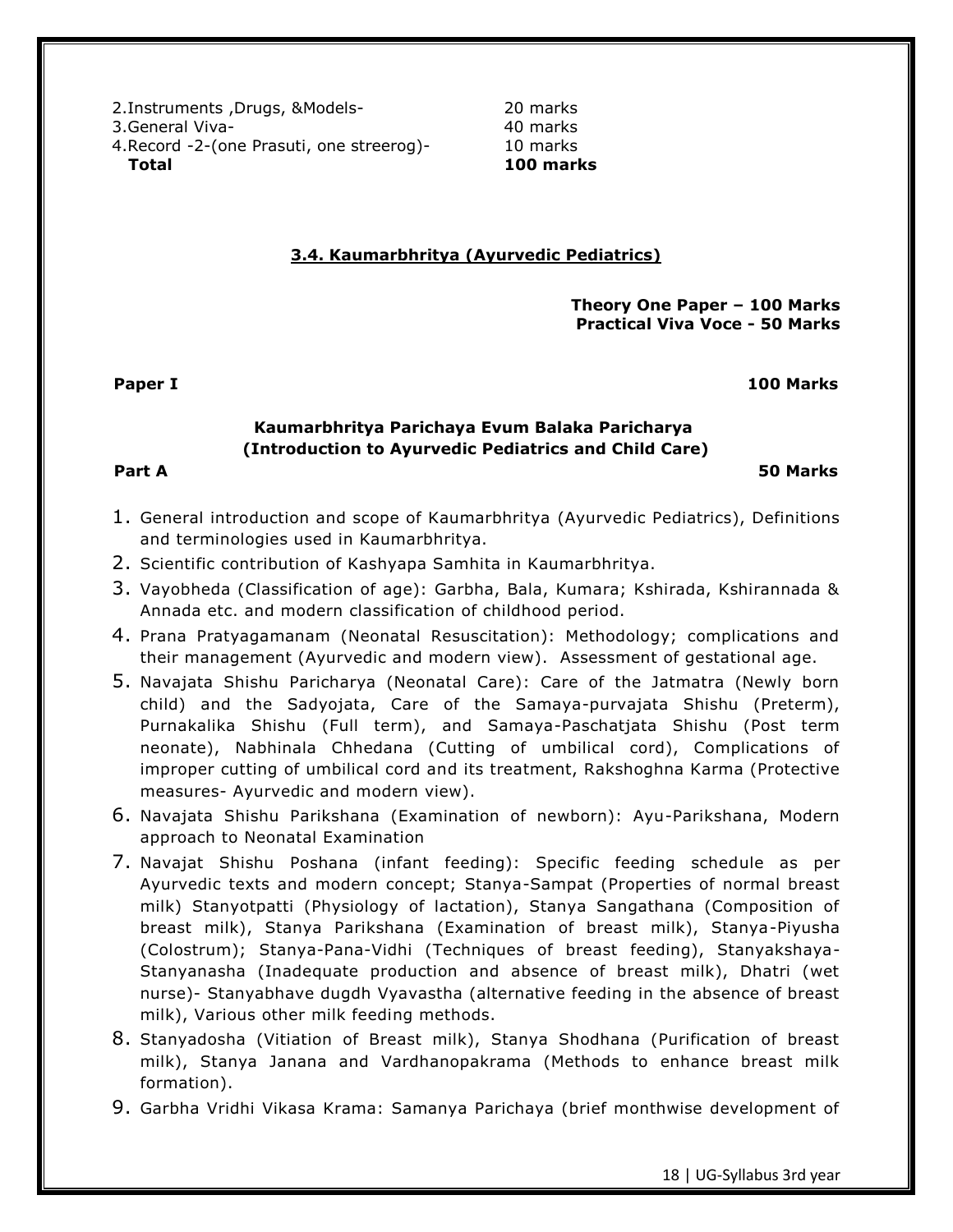2.Instruments ,Drugs, &Models- 20 marks 3.General Viva- 1988 and 1988 and 1988 and 1988 and 1988 and 1988 and 1988 and 1988 and 1988 and 198 4.Record -2-(one Prasuti, one streerog)- 10 marks **Total 100 marks**

# **3.4. Kaumarbhritya (Ayurvedic Pediatrics)**

**Theory One Paper – 100 Marks Practical Viva Voce - 50 Marks**

**Paper I 100 Marks** 

# **Kaumarbhritya Parichaya Evum Balaka Paricharya (Introduction to Ayurvedic Pediatrics and Child Care)**

**Part A 50 Marks**

- 1. General introduction and scope of Kaumarbhritya (Ayurvedic Pediatrics), Definitions and terminologies used in Kaumarbhritya.
- 2. Scientific contribution of Kashyapa Samhita in Kaumarbhritya.
- 3. Vayobheda (Classification of age): Garbha, Bala, Kumara; Kshirada, Kshirannada & Annada etc. and modern classification of childhood period.
- 4. Prana Pratyagamanam (Neonatal Resuscitation): Methodology; complications and their management (Ayurvedic and modern view). Assessment of gestational age.
- 5. Navajata Shishu Paricharya (Neonatal Care): Care of the Jatmatra (Newly born child) and the Sadyojata, Care of the Samaya-purvajata Shishu (Preterm), Purnakalika Shishu (Full term), and Samaya-Paschatjata Shishu (Post term neonate), Nabhinala Chhedana (Cutting of umbilical cord), Complications of improper cutting of umbilical cord and its treatment, Rakshoghna Karma (Protective measures- Ayurvedic and modern view).
- 6. Navajata Shishu Parikshana (Examination of newborn): Ayu-Parikshana, Modern approach to Neonatal Examination
- 7. Navajat Shishu Poshana (infant feeding): Specific feeding schedule as per Ayurvedic texts and modern concept; Stanya-Sampat (Properties of normal breast milk) Stanyotpatti (Physiology of lactation), Stanya Sangathana (Composition of breast milk), Stanya Parikshana (Examination of breast milk), Stanya-Piyusha (Colostrum); Stanya-Pana-Vidhi (Techniques of breast feeding), Stanyakshaya-Stanyanasha (Inadequate production and absence of breast milk), Dhatri (wet nurse)- Stanyabhave dugdh Vyavastha (alternative feeding in the absence of breast milk), Various other milk feeding methods.
- 8. Stanyadosha (Vitiation of Breast milk), Stanya Shodhana (Purification of breast milk), Stanya Janana and Vardhanopakrama (Methods to enhance breast milk formation).
- 9. Garbha Vridhi Vikasa Krama: Samanya Parichaya (brief monthwise development of

18 | UG-Syllabus 3rd year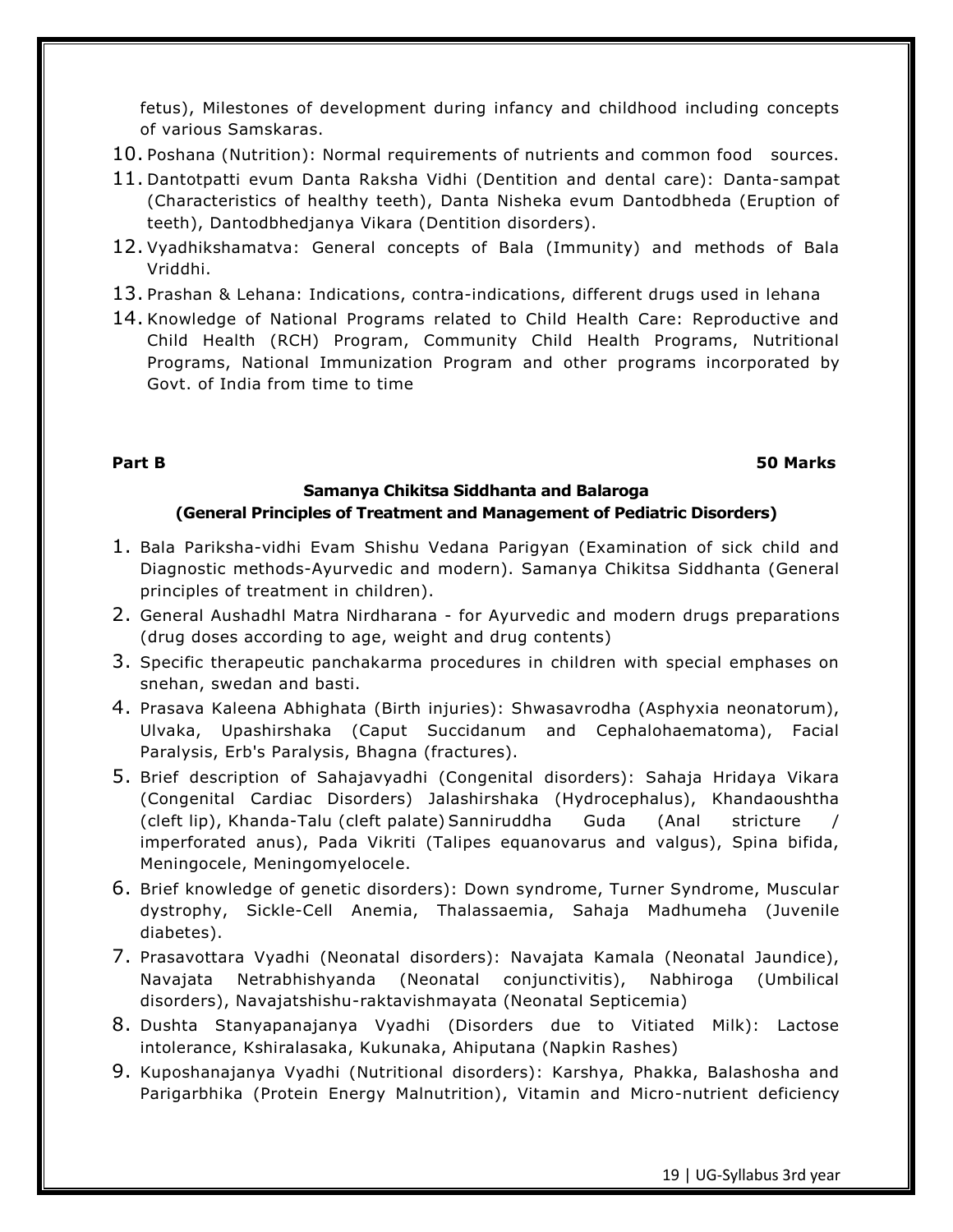fetus), Milestones of development during infancy and childhood including concepts of various Samskaras.

- 10. Poshana (Nutrition): Normal requirements of nutrients and common food sources.
- 11. Dantotpatti evum Danta Raksha Vidhi (Dentition and dental care): Danta-sampat (Characteristics of healthy teeth), Danta Nisheka evum Dantodbheda (Eruption of teeth), Dantodbhedjanya Vikara (Dentition disorders).
- 12. Vyadhikshamatva: General concepts of Bala (Immunity) and methods of Bala Vriddhi.
- 13. Prashan & Lehana: Indications, contra-indications, different drugs used in lehana
- 14. Knowledge of National Programs related to Child Health Care: Reproductive and Child Health (RCH) Program, Community Child Health Programs, Nutritional Programs, National Immunization Program and other programs incorporated by Govt. of India from time to time

# **Part B 50 Marks**

# **Samanya Chikitsa Siddhanta and Balaroga (General Principles of Treatment and Management of Pediatric Disorders)**

- 1. Bala Pariksha-vidhi Evam Shishu Vedana Parigyan (Examination of sick child and Diagnostic methods-Ayurvedic and modern). Samanya Chikitsa Siddhanta (General principles of treatment in children).
- 2. General Aushadhl Matra Nirdharana for Ayurvedic and modern drugs preparations (drug doses according to age, weight and drug contents)
- 3. Specific therapeutic panchakarma procedures in children with special emphases on snehan, swedan and basti.
- 4. Prasava Kaleena Abhighata (Birth injuries): Shwasavrodha (Asphyxia neonatorum), Ulvaka, Upashirshaka (Caput Succidanum and Cephalohaematoma), Facial Paralysis, Erb's Paralysis, Bhagna (fractures).
- 5. Brief description of Sahajavyadhi (Congenital disorders): Sahaja Hridaya Vikara (Congenital Cardiac Disorders) Jalashirshaka (Hydrocephalus), Khandaoushtha (cleft lip), Khanda-Talu (cleft palate) Sanniruddha Guda (Anal stricture / imperforated anus), Pada Vikriti (Talipes equanovarus and valgus), Spina bifida, Meningocele, Meningomyelocele.
- 6. Brief knowledge of genetic disorders): Down syndrome, Turner Syndrome, Muscular dystrophy, Sickle-Cell Anemia, Thalassaemia, Sahaja Madhumeha (Juvenile diabetes).
- 7. Prasavottara Vyadhi (Neonatal disorders): Navajata Kamala (Neonatal Jaundice), Navajata Netrabhishyanda (Neonatal conjunctivitis), Nabhiroga (Umbilical disorders), Navajatshishu-raktavishmayata (Neonatal Septicemia)
- 8. Dushta Stanyapanajanya Vyadhi (Disorders due to Vitiated Milk): Lactose intolerance, Kshiralasaka, Kukunaka, Ahiputana (Napkin Rashes)
- 9. Kuposhanajanya Vyadhi (Nutritional disorders): Karshya, Phakka, Balashosha and Parigarbhika (Protein Energy Malnutrition), Vitamin and Micro-nutrient deficiency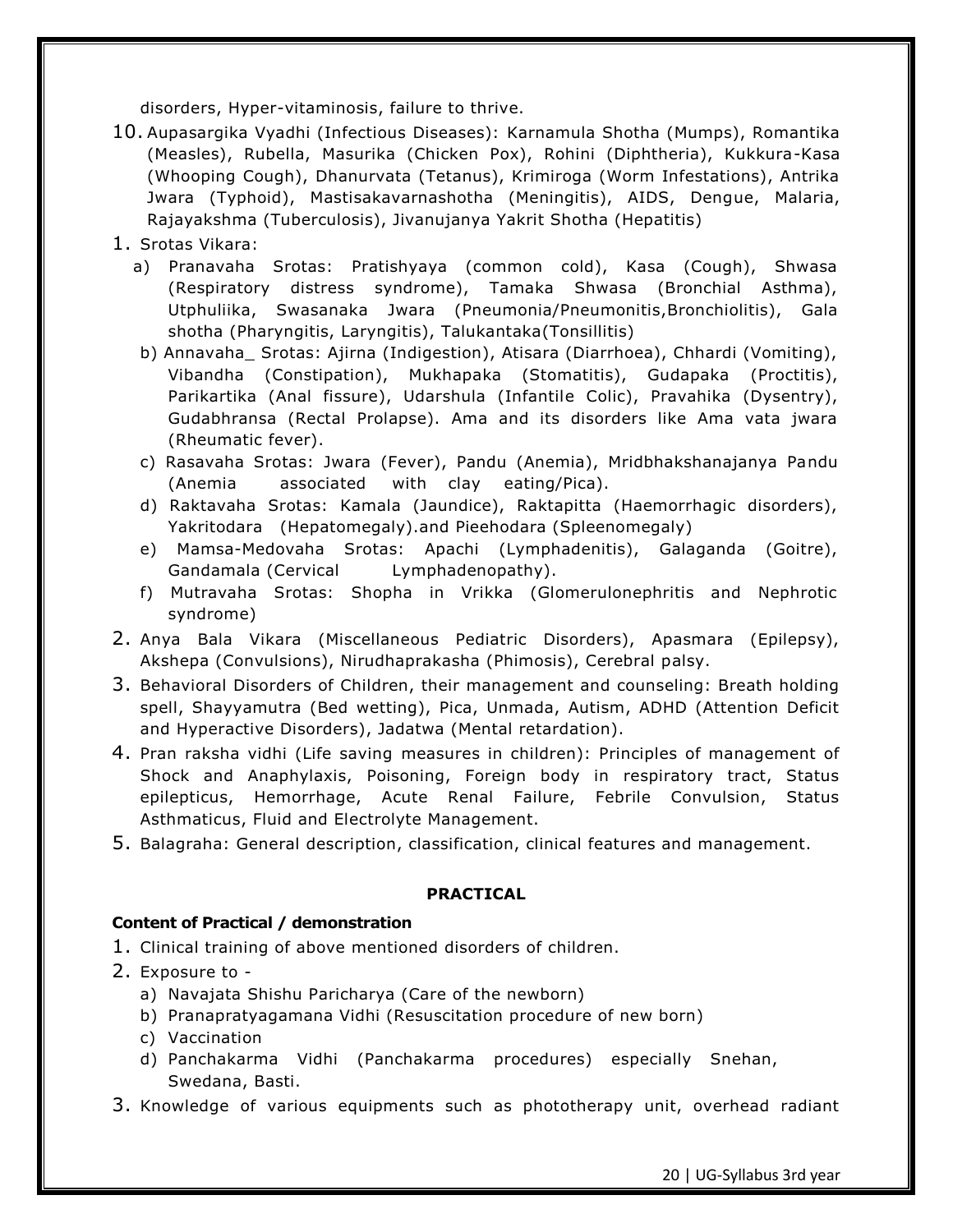disorders, Hyper-vitaminosis, failure to thrive.

- 10. Aupasargika Vyadhi (Infectious Diseases): Karnamula Shotha (Mumps), Romantika (Measles), Rubella, Masurika (Chicken Pox), Rohini (Diphtheria), Kukkura-Kasa (Whooping Cough), Dhanurvata (Tetanus), Krimiroga (Worm Infestations), Antrika Jwara (Typhoid), Mastisakavarnashotha (Meningitis), AIDS, Dengue, Malaria, Rajayakshma (Tuberculosis), Jivanujanya Yakrit Shotha (Hepatitis)
- 1. Srotas Vikara:
	- a) Pranavaha Srotas: Pratishyaya (common cold), Kasa (Cough), Shwasa (Respiratory distress syndrome), Tamaka Shwasa (Bronchial Asthma), Utphuliika, Swasanaka Jwara (Pneumonia/Pneumonitis,Bronchiolitis), Gala shotha (Pharyngitis, Laryngitis), Talukantaka(Tonsillitis)
	- b) Annavaha\_ Srotas: Ajirna (Indigestion), Atisara (Diarrhoea), Chhardi (Vomiting), Vibandha (Constipation), Mukhapaka (Stomatitis), Gudapaka (Proctitis), Parikartika (Anal fissure), Udarshula (Infantile Colic), Pravahika (Dysentry), Gudabhransa (Rectal Prolapse). Ama and its disorders like Ama vata jwara (Rheumatic fever).
	- c) Rasavaha Srotas: Jwara (Fever), Pandu (Anemia), Mridbhakshanajanya Pandu (Anemia associated with clay eating/Pica).
	- d) Raktavaha Srotas: Kamala (Jaundice), Raktapitta (Haemorrhagic disorders), Yakritodara (Hepatomegaly).and Pieehodara (Spleenomegaly)
	- e) Mamsa-Medovaha Srotas: Apachi (Lymphadenitis), Galaganda (Goitre), Gandamala (Cervical Lymphadenopathy).
	- f) Mutravaha Srotas: Shopha in Vrikka (Glomerulonephritis and Nephrotic syndrome)
- 2. Anya Bala Vikara (Miscellaneous Pediatric Disorders), Apasmara (Epilepsy), Akshepa (Convulsions), Nirudhaprakasha (Phimosis), Cerebral palsy.
- 3. Behavioral Disorders of Children, their management and counseling: Breath holding spell, Shayyamutra (Bed wetting), Pica, Unmada, Autism, ADHD (Attention Deficit and Hyperactive Disorders), Jadatwa (Mental retardation).
- 4. Pran raksha vidhi (Life saving measures in children): Principles of management of Shock and Anaphylaxis, Poisoning, Foreign body in respiratory tract, Status epilepticus, Hemorrhage, Acute Renal Failure, Febrile Convulsion, Status Asthmaticus, Fluid and Electrolyte Management.
- 5. Balagraha: General description, classification, clinical features and management.

# **PRACTICAL**

# **Content of Practical / demonstration**

- 1. Clinical training of above mentioned disorders of children.
- 2. Exposure to
	- a) Navajata Shishu Paricharya (Care of the newborn)
	- b) Pranapratyagamana Vidhi (Resuscitation procedure of new born)
	- c) Vaccination
	- d) Panchakarma Vidhi (Panchakarma procedures) especially Snehan, Swedana, Basti.
- 3. Knowledge of various equipments such as phototherapy unit, overhead radiant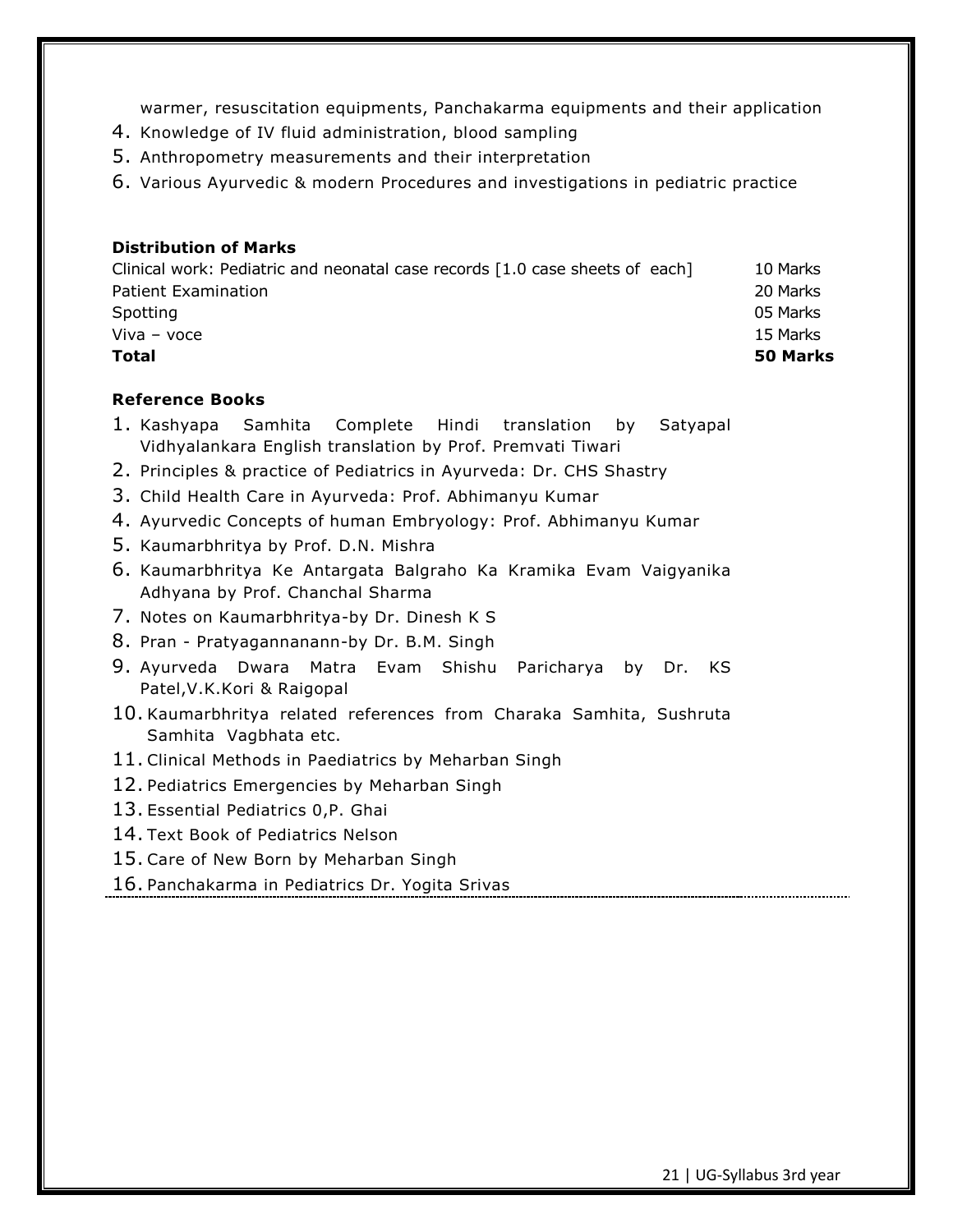warmer, resuscitation equipments, Panchakarma equipments and their application

- 4. Knowledge of IV fluid administration, blood sampling
- 5. Anthropometry measurements and their interpretation
- 6. Various Ayurvedic & modern Procedures and investigations in pediatric practice

# **Distribution of Marks**

| Total                                                                        | 50 Marks |
|------------------------------------------------------------------------------|----------|
| Viva – voce                                                                  | 15 Marks |
| Spotting                                                                     | 05 Marks |
| <b>Patient Examination</b>                                                   | 20 Marks |
| Clinical work: Pediatric and neonatal case records [1.0 case sheets of each] | 10 Marks |

# **Reference Books**

- 1. Kashyapa Samhita Complete Hindi translation by Satyapal Vidhyalankara English translation by Prof. Premvati Tiwari
- 2. Principles & practice of Pediatrics in Ayurveda: Dr. CHS Shastry
- 3. Child Health Care in Ayurveda: Prof. Abhimanyu Kumar
- 4. Ayurvedic Concepts of human Embryology: Prof. Abhimanyu Kumar
- 5. Kaumarbhritya by Prof. D.N. Mishra
- 6. Kaumarbhritya Ke Antargata Balgraho Ka Kramika Evam Vaigyanika Adhyana by Prof. Chanchal Sharma
- 7. Notes on Kaumarbhritya-by Dr. Dinesh K S
- 8. Pran Pratyagannanann-by Dr. B.M. Singh
- 9. Ayurveda Dwara Matra Evam Shishu Paricharya by Dr. KS Patel,V.K.Kori & Raigopal
- 10. Kaumarbhritya related references from Charaka Samhita, Sushruta Samhita Vagbhata etc.
- 11. Clinical Methods in Paediatrics by Meharban Singh
- 12. Pediatrics Emergencies by Meharban Singh
- 13. Essential Pediatrics 0,P. Ghai
- 14. Text Book of Pediatrics Nelson
- 15. Care of New Born by Meharban Singh
- 16. Panchakarma in Pediatrics Dr. Yogita Srivas